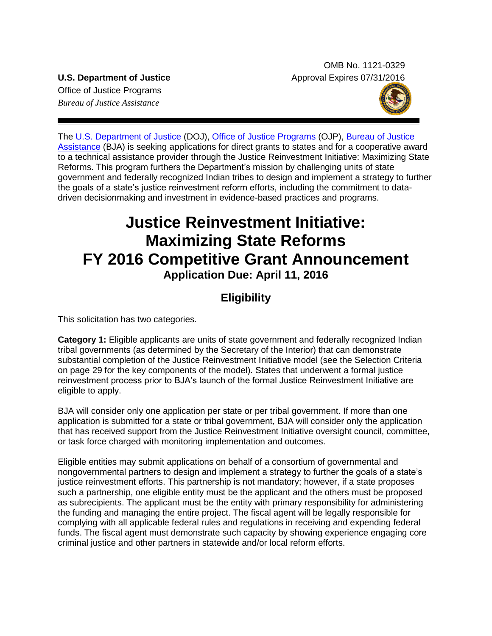OMB No. 1121-0329 **U.S. Department of Justice Community Community Approval Expires 07/31/2016** 

Office of Justice Programs *Bureau of Justice Assistance*



The [U.S. Department of Justice](http://www.justice.gov/) (DOJ), Office [of Justice Programs](http://www.ojp.gov/) (OJP), [Bureau of Justice](https://www.bja.gov/)  [Assistance](https://www.bja.gov/) (BJA) is seeking applications for direct grants to states and for a cooperative award to a technical assistance provider through the Justice Reinvestment Initiative: Maximizing State Reforms. This program furthers the Department's mission by challenging units of state government and federally recognized Indian tribes to design and implement a strategy to further the goals of a state's justice reinvestment reform efforts, including the commitment to datadriven decisionmaking and investment in evidence-based practices and programs.

# **Justice Reinvestment Initiative: Maximizing State Reforms FY 2016 Competitive Grant Announcement Application Due: April 11, 2016**

# **Eligibility**

This solicitation has two categories.

**Category 1:** Eligible applicants are units of state government and federally recognized Indian tribal governments (as determined by the Secretary of the Interior) that can demonstrate substantial completion of the Justice Reinvestment Initiative model (see the Selection Criteria on page 29 for the key components of the model). States that underwent a formal justice reinvestment process prior to BJA's launch of the formal Justice Reinvestment Initiative are eligible to apply.

BJA will consider only one application per state or per tribal government. If more than one application is submitted for a state or tribal government, BJA will consider only the application that has received support from the Justice Reinvestment Initiative oversight council, committee, or task force charged with monitoring implementation and outcomes.

Eligible entities may submit applications on behalf of a consortium of governmental and nongovernmental partners to design and implement a strategy to further the goals of a state's justice reinvestment efforts. This partnership is not mandatory; however, if a state proposes such a partnership, one eligible entity must be the applicant and the others must be proposed as subrecipients. The applicant must be the entity with primary responsibility for administering the funding and managing the entire project. The fiscal agent will be legally responsible for complying with all applicable federal rules and regulations in receiving and expending federal funds. The fiscal agent must demonstrate such capacity by showing experience engaging core criminal justice and other partners in statewide and/or local reform efforts.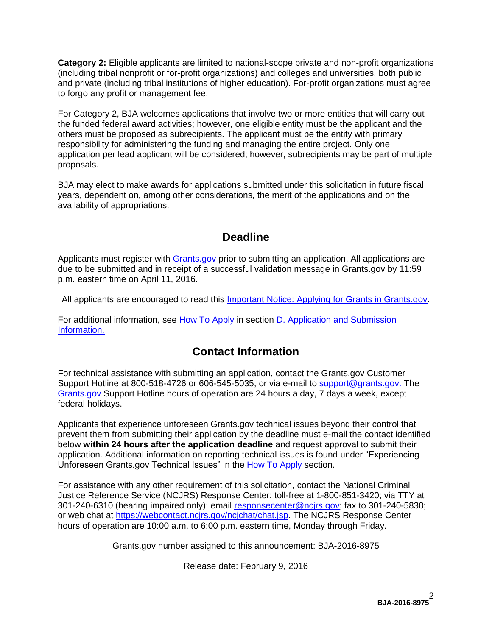**Category 2:** Eligible applicants are limited to national-scope private and non-profit organizations (including tribal nonprofit or for-profit organizations) and colleges and universities, both public and private (including tribal institutions of higher education). For-profit organizations must agree to forgo any profit or management fee.

For Category 2, BJA welcomes applications that involve two or more entities that will carry out the funded federal award activities; however, one eligible entity must be the applicant and the others must be proposed as subrecipients. The applicant must be the entity with primary responsibility for administering the funding and managing the entire project. Only one application per lead applicant will be considered; however, subrecipients may be part of multiple proposals.

BJA may elect to make awards for applications submitted under this solicitation in future fiscal years, dependent on, among other considerations, the merit of the applications and on the availability of appropriations.

# **Deadline**

Applicants must register with **Grants.gov** prior to submitting an application. All applications are due to be submitted and in receipt of a successful validation message in Grants.gov by 11:59 p.m. eastern time on April 11, 2016.

All applicants are encouraged to read this [Important Notice: Applying for Grants in Grants.gov](http://ojp.gov/funding/Apply/Grants-govInfo.htm)**.**

For additional information, see [How To](#page-24-0) Apply in section [D. Application and Submission](#page-13-0)  [Information.](#page-13-0)

# **Contact Information**

For technical assistance with submitting an application, contact the Grants.gov Customer Support Hotline at 800-518-4726 or 606-545-5035, or via e-mail to [support@grants.gov.](mailto:support@grants.gov) The [Grants.gov](http://www.grants.gov/applicants/apply_for_grants.jsp) Support Hotline hours of operation are 24 hours a day, 7 days a week, except federal holidays.

Applicants that experience unforeseen Grants.gov technical issues beyond their control that prevent them from submitting their application by the deadline must e-mail the contact identified below **within 24 hours after the application deadline** and request approval to submit their application. Additional information on reporting technical issues is found under "Experiencing Unforeseen Grants.gov Technical Issues" in the [How To](#page-24-0) Apply section.

For assistance with any other requirement of this solicitation, contact the National Criminal Justice Reference Service (NCJRS) Response Center: toll-free at 1-800-851-3420; via TTY at 301-240-6310 (hearing impaired only); email [responsecenter@ncjrs.gov;](mailto:responsecenter@ncjrs.gov) fax to 301-240-5830; or web chat at [https://webcontact.ncjrs.gov/ncjchat/chat.jsp.](https://webcontact.ncjrs.gov/ncjchat/chat.jsp) The NCJRS Response Center hours of operation are 10:00 a.m. to 6:00 p.m. eastern time, Monday through Friday.

Grants.gov number assigned to this announcement: BJA-2016-8975

Release date: February 9, 2016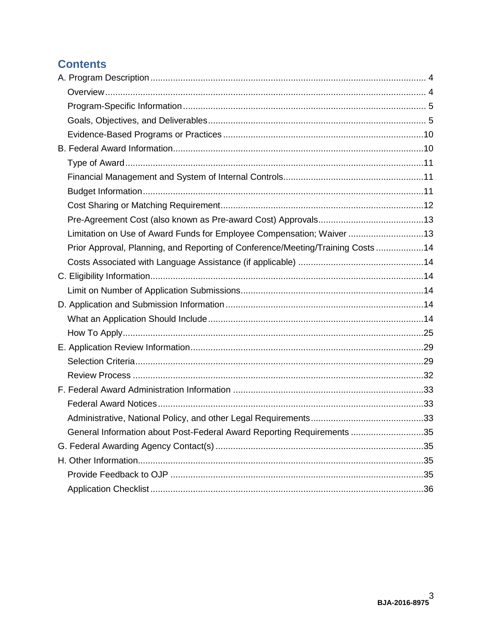# **Contents**

| Limitation on Use of Award Funds for Employee Compensation; Waiver 13           |  |
|---------------------------------------------------------------------------------|--|
| Prior Approval, Planning, and Reporting of Conference/Meeting/Training Costs 14 |  |
|                                                                                 |  |
|                                                                                 |  |
|                                                                                 |  |
|                                                                                 |  |
|                                                                                 |  |
|                                                                                 |  |
|                                                                                 |  |
|                                                                                 |  |
|                                                                                 |  |
|                                                                                 |  |
|                                                                                 |  |
|                                                                                 |  |
| General Information about Post-Federal Award Reporting Requirements 35          |  |
|                                                                                 |  |
|                                                                                 |  |
|                                                                                 |  |
|                                                                                 |  |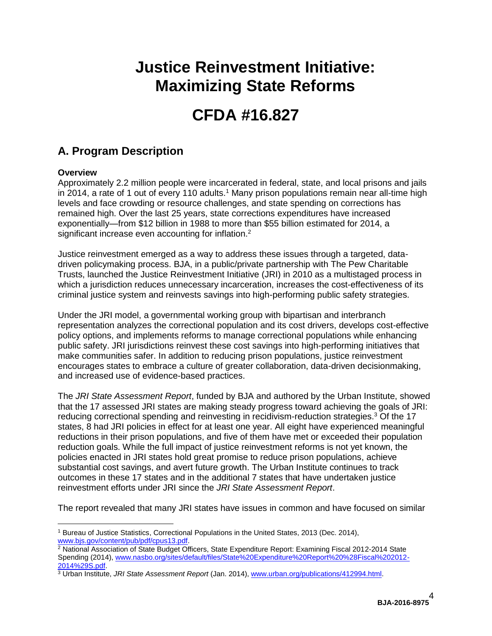# **Justice Reinvestment Initiative: Maximizing State Reforms**

# **CFDA #16.827**

# <span id="page-3-0"></span>**A. Program Description**

#### <span id="page-3-1"></span>**Overview**

 $\overline{a}$ 

Approximately 2.2 million people were incarcerated in federal, state, and local prisons and jails in 2014, a rate of 1 out of every 110 adults.<sup>1</sup> Many prison populations remain near all-time high levels and face crowding or resource challenges, and state spending on corrections has remained high. Over the last 25 years, state corrections expenditures have increased exponentially—from \$12 billion in 1988 to more than \$55 billion estimated for 2014, a significant increase even accounting for inflation.<sup>2</sup>

Justice reinvestment emerged as a way to address these issues through a targeted, datadriven policymaking process. BJA, in a public/private partnership with The Pew Charitable Trusts, launched the Justice Reinvestment Initiative (JRI) in 2010 as a multistaged process in which a jurisdiction reduces unnecessary incarceration, increases the cost-effectiveness of its criminal justice system and reinvests savings into high-performing public safety strategies.

Under the JRI model, a governmental working group with bipartisan and interbranch representation analyzes the correctional population and its cost drivers, develops cost-effective policy options, and implements reforms to manage correctional populations while enhancing public safety. JRI jurisdictions reinvest these cost savings into high-performing initiatives that make communities safer. In addition to reducing prison populations, justice reinvestment encourages states to embrace a culture of greater collaboration, data-driven decisionmaking, and increased use of evidence-based practices.

The *JRI State Assessment Report*, funded by BJA and authored by the Urban Institute, showed that the 17 assessed JRI states are making steady progress toward achieving the goals of JRI: reducing correctional spending and reinvesting in recidivism-reduction strategies.<sup>3</sup> Of the 17 states, 8 had JRI policies in effect for at least one year. All eight have experienced meaningful reductions in their prison populations, and five of them have met or exceeded their population reduction goals. While the full impact of justice reinvestment reforms is not yet known, the policies enacted in JRI states hold great promise to reduce prison populations, achieve substantial cost savings, and avert future growth. The Urban Institute continues to track outcomes in these 17 states and in the additional 7 states that have undertaken justice reinvestment efforts under JRI since the *JRI State Assessment Report*.

The report revealed that many JRI states have issues in common and have focused on similar

<sup>1</sup> Bureau of Justice Statistics, Correctional Populations in the United States, 2013 (Dec. 2014), [www.bjs.gov/content/pub/pdf/cpus13.pdf.](http://www.bjs.gov/content/pub/pdf/cpus13.pdf)

<sup>&</sup>lt;sup>2</sup> National Association of State Budget Officers, State Expenditure Report: Examining Fiscal 2012-2014 State Spending (2014)[, www.nasbo.org/sites/default/files/State%20Expenditure%20Report%20%28Fiscal%202012-](http://www.nasbo.org/sites/default/files/State%20Expenditure%20Report%20%28Fiscal%202012-2014%29S.pdf) [2014%29S.pdf.](http://www.nasbo.org/sites/default/files/State%20Expenditure%20Report%20%28Fiscal%202012-2014%29S.pdf)

<sup>3</sup> Urban Institute, *JRI State Assessment Report* (Jan. 2014)[, www.urban.org/publications/412994.html.](http://www.urban.org/publications/412994.html)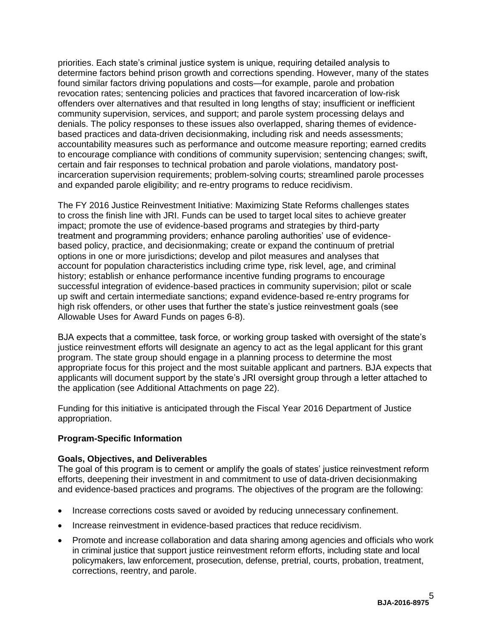priorities. Each state's criminal justice system is unique, requiring detailed analysis to determine factors behind prison growth and corrections spending. However, many of the states found similar factors driving populations and costs—for example, parole and probation revocation rates; sentencing policies and practices that favored incarceration of low-risk offenders over alternatives and that resulted in long lengths of stay; insufficient or inefficient community supervision, services, and support; and parole system processing delays and denials. The policy responses to these issues also overlapped, sharing themes of evidencebased practices and data-driven decisionmaking, including risk and needs assessments; accountability measures such as performance and outcome measure reporting; earned credits to encourage compliance with conditions of community supervision; sentencing changes; swift, certain and fair responses to technical probation and parole violations, mandatory postincarceration supervision requirements; problem-solving courts; streamlined parole processes and expanded parole eligibility; and re-entry programs to reduce recidivism.

The FY 2016 Justice Reinvestment Initiative: Maximizing State Reforms challenges states to cross the finish line with JRI. Funds can be used to target local sites to achieve greater impact; promote the use of evidence-based programs and strategies by third-party treatment and programming providers; enhance paroling authorities' use of evidencebased policy, practice, and decisionmaking; create or expand the continuum of pretrial options in one or more jurisdictions; develop and pilot measures and analyses that account for population characteristics including crime type, risk level, age, and criminal history; establish or enhance performance incentive funding programs to encourage successful integration of evidence-based practices in community supervision; pilot or scale up swift and certain intermediate sanctions; expand evidence-based re-entry programs for high risk offenders, or other uses that further the state's justice reinvestment goals (see Allowable Uses for Award Funds on pages 6-8).

BJA expects that a committee, task force, or working group tasked with oversight of the state's justice reinvestment efforts will designate an agency to act as the legal applicant for this grant program. The state group should engage in a planning process to determine the most appropriate focus for this project and the most suitable applicant and partners. BJA expects that applicants will document support by the state's JRI oversight group through a letter attached to the application (see Additional Attachments on page [22\)](#page-21-0).

Funding for this initiative is anticipated through the Fiscal Year 2016 Department of Justice appropriation.

#### <span id="page-4-0"></span>**Program-Specific Information**

#### <span id="page-4-1"></span>**Goals, Objectives, and Deliverables**

The goal of this program is to cement or amplify the goals of states' justice reinvestment reform efforts, deepening their investment in and commitment to use of data-driven decisionmaking and evidence-based practices and programs. The objectives of the program are the following:

- Increase corrections costs saved or avoided by reducing unnecessary confinement.
- Increase reinvestment in evidence-based practices that reduce recidivism.
- Promote and increase collaboration and data sharing among agencies and officials who work in criminal justice that support justice reinvestment reform efforts, including state and local policymakers, law enforcement, prosecution, defense, pretrial, courts, probation, treatment, corrections, reentry, and parole.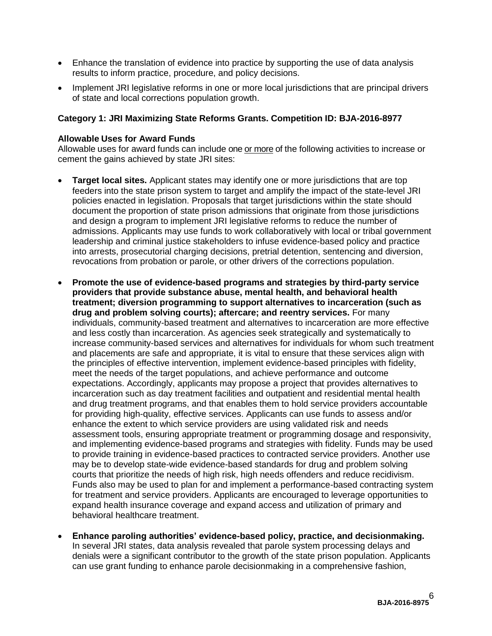- Enhance the translation of evidence into practice by supporting the use of data analysis results to inform practice, procedure, and policy decisions.
- Implement JRI legislative reforms in one or more local jurisdictions that are principal drivers of state and local corrections population growth.

## **Category 1: JRI Maximizing State Reforms Grants. Competition ID: BJA-2016-8977**

#### **Allowable Uses for Award Funds**

Allowable uses for award funds can include one or more of the following activities to increase or cement the gains achieved by state JRI sites:

- **Target local sites.** Applicant states may identify one or more jurisdictions that are top feeders into the state prison system to target and amplify the impact of the state-level JRI policies enacted in legislation. Proposals that target jurisdictions within the state should document the proportion of state prison admissions that originate from those jurisdictions and design a program to implement JRI legislative reforms to reduce the number of admissions. Applicants may use funds to work collaboratively with local or tribal government leadership and criminal justice stakeholders to infuse evidence-based policy and practice into arrests, prosecutorial charging decisions, pretrial detention, sentencing and diversion, revocations from probation or parole, or other drivers of the corrections population.
- **Promote the use of evidence-based programs and strategies by third-party service providers that provide substance abuse, mental health, and behavioral health treatment; diversion programming to support alternatives to incarceration (such as drug and problem solving courts); aftercare; and reentry services.** For many individuals, community-based treatment and alternatives to incarceration are more effective and less costly than incarceration. As agencies seek strategically and systematically to increase community-based services and alternatives for individuals for whom such treatment and placements are safe and appropriate, it is vital to ensure that these services align with the principles of effective intervention, implement evidence-based principles with fidelity, meet the needs of the target populations, and achieve performance and outcome expectations. Accordingly, applicants may propose a project that provides alternatives to incarceration such as day treatment facilities and outpatient and residential mental health and drug treatment programs, and that enables them to hold service providers accountable for providing high-quality, effective services. Applicants can use funds to assess and/or enhance the extent to which service providers are using validated risk and needs assessment tools, ensuring appropriate treatment or programming dosage and responsivity, and implementing evidence-based programs and strategies with fidelity. Funds may be used to provide training in evidence-based practices to contracted service providers. Another use may be to develop state-wide evidence-based standards for drug and problem solving courts that prioritize the needs of high risk, high needs offenders and reduce recidivism. Funds also may be used to plan for and implement a performance-based contracting system for treatment and service providers. Applicants are encouraged to leverage opportunities to expand health insurance coverage and expand access and utilization of primary and behavioral healthcare treatment.
- **Enhance paroling authorities' evidence-based policy, practice, and decisionmaking.**  In several JRI states, data analysis revealed that parole system processing delays and denials were a significant contributor to the growth of the state prison population. Applicants can use grant funding to enhance parole decisionmaking in a comprehensive fashion,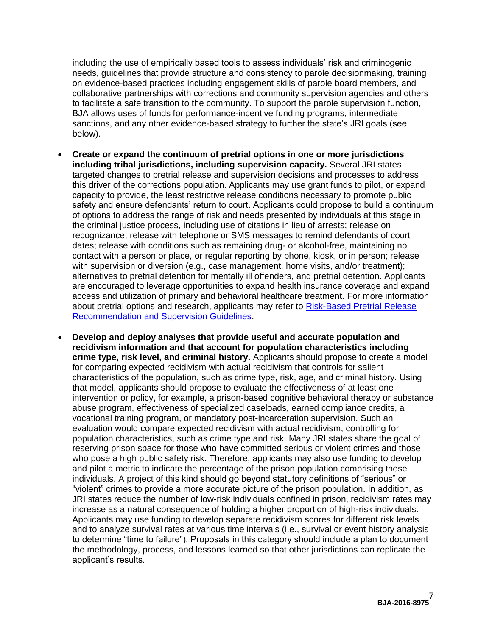including the use of empirically based tools to assess individuals' risk and criminogenic needs, guidelines that provide structure and consistency to parole decisionmaking, training on evidence-based practices including engagement skills of parole board members, and collaborative partnerships with corrections and community supervision agencies and others to facilitate a safe transition to the community. To support the parole supervision function, BJA allows uses of funds for performance-incentive funding programs, intermediate sanctions, and any other evidence-based strategy to further the state's JRI goals (see below).

- **Create or expand the continuum of pretrial options in one or more jurisdictions including tribal jurisdictions, including supervision capacity.** Several JRI states targeted changes to pretrial release and supervision decisions and processes to address this driver of the corrections population. Applicants may use grant funds to pilot, or expand capacity to provide, the least restrictive release conditions necessary to promote public safety and ensure defendants' return to court. Applicants could propose to build a continuum of options to address the range of risk and needs presented by individuals at this stage in the criminal justice process, including use of citations in lieu of arrests; release on recognizance; release with telephone or SMS messages to remind defendants of court dates; release with conditions such as remaining drug- or alcohol-free, maintaining no contact with a person or place, or regular reporting by phone, kiosk, or in person; release with supervision or diversion (e.g., case management, home visits, and/or treatment); alternatives to pretrial detention for mentally ill offenders, and pretrial detention. Applicants are encouraged to leverage opportunities to expand health insurance coverage and expand access and utilization of primary and behavioral healthcare treatment. For more information about pretrial options and research, applicants may refer to [Risk-Based Pretrial Release](http://luminosity-solutions.com/site/wp-content/uploads/2014/02/Risk-Based-Pretrial-Guidelines-August-2015.pdf)  [Recommendation and Supervision Guidelines.](http://luminosity-solutions.com/site/wp-content/uploads/2014/02/Risk-Based-Pretrial-Guidelines-August-2015.pdf)
- **Develop and deploy analyses that provide useful and accurate population and recidivism information and that account for population characteristics including crime type, risk level, and criminal history.** Applicants should propose to create a model for comparing expected recidivism with actual recidivism that controls for salient characteristics of the population, such as crime type, risk, age, and criminal history. Using that model, applicants should propose to evaluate the effectiveness of at least one intervention or policy, for example, a prison-based cognitive behavioral therapy or substance abuse program, effectiveness of specialized caseloads, earned compliance credits, a vocational training program, or mandatory post-incarceration supervision. Such an evaluation would compare expected recidivism with actual recidivism, controlling for population characteristics, such as crime type and risk. Many JRI states share the goal of reserving prison space for those who have committed serious or violent crimes and those who pose a high public safety risk. Therefore, applicants may also use funding to develop and pilot a metric to indicate the percentage of the prison population comprising these individuals. A project of this kind should go beyond statutory definitions of "serious" or "violent" crimes to provide a more accurate picture of the prison population. In addition, as JRI states reduce the number of low-risk individuals confined in prison, recidivism rates may increase as a natural consequence of holding a higher proportion of high-risk individuals. Applicants may use funding to develop separate recidivism scores for different risk levels and to analyze survival rates at various time intervals (i.e., survival or event history analysis to determine "time to failure"). Proposals in this category should include a plan to document the methodology, process, and lessons learned so that other jurisdictions can replicate the applicant's results.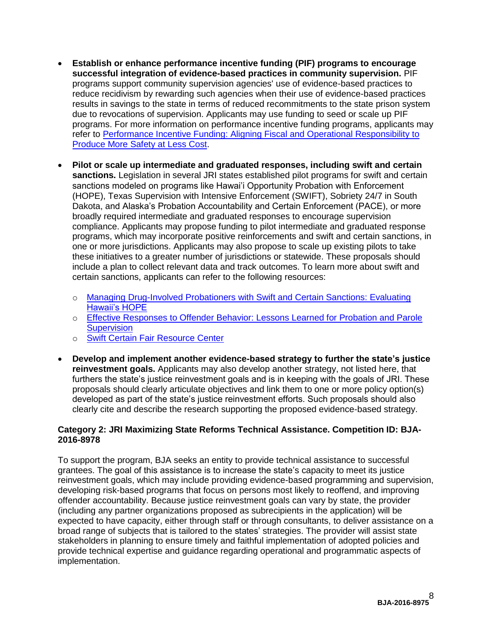- **Establish or enhance performance incentive funding (PIF) programs to encourage successful integration of evidence-based practices in community supervision.** PIF programs support community supervision agencies' use of evidence-based practices to reduce recidivism by rewarding such agencies when their use of evidence-based practices results in savings to the state in terms of reduced recommitments to the state prison system due to revocations of supervision. Applicants may use funding to seed or scale up PIF programs. For more information on performance incentive funding programs, applicants may refer to [Performance Incentive Funding: Aligning Fiscal and Operational Responsibility to](http://www.vera.org/sites/default/files/resources/downloads/performance-incentive-funding-report.pdf)  [Produce More Safety at Less Cost.](http://www.vera.org/sites/default/files/resources/downloads/performance-incentive-funding-report.pdf)
- **Pilot or scale up intermediate and graduated responses, including swift and certain sanctions.** Legislation in several JRI states established pilot programs for swift and certain sanctions modeled on programs like Hawai'i Opportunity Probation with Enforcement (HOPE), Texas Supervision with Intensive Enforcement (SWIFT), Sobriety 24/7 in South Dakota, and Alaska's Probation Accountability and Certain Enforcement (PACE), or more broadly required intermediate and graduated responses to encourage supervision compliance. Applicants may propose funding to pilot intermediate and graduated response programs, which may incorporate positive reinforcements and swift and certain sanctions, in one or more jurisdictions. Applicants may also propose to scale up existing pilots to take these initiatives to a greater number of jurisdictions or statewide. These proposals should include a plan to collect relevant data and track outcomes. To learn more about swift and certain sanctions, applicants can refer to the following resources:
	- o [Managing Drug-Involved Probationers with Swift and Certain Sanctions: Evaluating](https://www.google.com/url?sa=t&rct=j&q=&esrc=s&frm=1&source=web&cd=1&ved=0CCMQFjAA&url=https%3A%2F%2Fwww.ncjrs.gov%2Fpdffiles1%2Fnij%2Fgrants%2F229023.pdf&ei=ouhXVL-AMpGqyASs8oDICw&usg=AFQjCNEAt9ctTDFur7IUi0muscGAK648vQ)  [Hawaii's HOPE](https://www.google.com/url?sa=t&rct=j&q=&esrc=s&frm=1&source=web&cd=1&ved=0CCMQFjAA&url=https%3A%2F%2Fwww.ncjrs.gov%2Fpdffiles1%2Fnij%2Fgrants%2F229023.pdf&ei=ouhXVL-AMpGqyASs8oDICw&usg=AFQjCNEAt9ctTDFur7IUi0muscGAK648vQ)
	- o [Effective Responses to Offender Behavior: Lessons Learned for Probation and Parole](http://www.appa-net.org/eWeb/docs/APPA/pubs/EROBLLPPS-Report.pdf)  **[Supervision](http://www.appa-net.org/eWeb/docs/APPA/pubs/EROBLLPPS-Report.pdf)**
	- o [Swift Certain Fair Resource Center](http://scfcenter.org/)
- **Develop and implement another evidence-based strategy to further the state's justice reinvestment goals.** Applicants may also develop another strategy, not listed here, that furthers the state's justice reinvestment goals and is in keeping with the goals of JRI. These proposals should clearly articulate objectives and link them to one or more policy option(s) developed as part of the state's justice reinvestment efforts. Such proposals should also clearly cite and describe the research supporting the proposed evidence-based strategy.

#### **Category 2: JRI Maximizing State Reforms Technical Assistance. Competition ID: BJA-2016-8978**

To support the program, BJA seeks an entity to provide technical assistance to successful grantees. The goal of this assistance is to increase the state's capacity to meet its justice reinvestment goals, which may include providing evidence-based programming and supervision, developing risk-based programs that focus on persons most likely to reoffend, and improving offender accountability. Because justice reinvestment goals can vary by state, the provider (including any partner organizations proposed as subrecipients in the application) will be expected to have capacity, either through staff or through consultants, to deliver assistance on a broad range of subjects that is tailored to the states' strategies. The provider will assist state stakeholders in planning to ensure timely and faithful implementation of adopted policies and provide technical expertise and guidance regarding operational and programmatic aspects of implementation.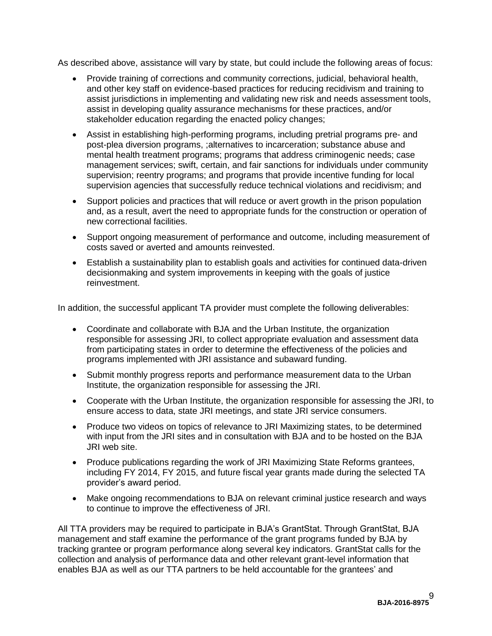As described above, assistance will vary by state, but could include the following areas of focus:

- Provide training of corrections and community corrections, judicial, behavioral health, and other key staff on evidence-based practices for reducing recidivism and training to assist jurisdictions in implementing and validating new risk and needs assessment tools, assist in developing quality assurance mechanisms for these practices, and/or stakeholder education regarding the enacted policy changes;
- Assist in establishing high-performing programs, including pretrial programs pre- and post-plea diversion programs, ;alternatives to incarceration; substance abuse and mental health treatment programs; programs that address criminogenic needs; case management services; swift, certain, and fair sanctions for individuals under community supervision; reentry programs; and programs that provide incentive funding for local supervision agencies that successfully reduce technical violations and recidivism; and
- Support policies and practices that will reduce or avert growth in the prison population and, as a result, avert the need to appropriate funds for the construction or operation of new correctional facilities.
- Support ongoing measurement of performance and outcome, including measurement of costs saved or averted and amounts reinvested.
- Establish a sustainability plan to establish goals and activities for continued data-driven decisionmaking and system improvements in keeping with the goals of justice reinvestment.

In addition, the successful applicant TA provider must complete the following deliverables:

- Coordinate and collaborate with BJA and the Urban Institute, the organization responsible for assessing JRI, to collect appropriate evaluation and assessment data from participating states in order to determine the effectiveness of the policies and programs implemented with JRI assistance and subaward funding.
- Submit monthly progress reports and performance measurement data to the Urban Institute, the organization responsible for assessing the JRI.
- Cooperate with the Urban Institute, the organization responsible for assessing the JRI, to ensure access to data, state JRI meetings, and state JRI service consumers.
- Produce two videos on topics of relevance to JRI Maximizing states, to be determined with input from the JRI sites and in consultation with BJA and to be hosted on the BJA JRI web site.
- Produce publications regarding the work of JRI Maximizing State Reforms grantees, including FY 2014, FY 2015, and future fiscal year grants made during the selected TA provider's award period.
- Make ongoing recommendations to BJA on relevant criminal justice research and ways to continue to improve the effectiveness of JRI.

All TTA providers may be required to participate in BJA's GrantStat. Through GrantStat, BJA management and staff examine the performance of the grant programs funded by BJA by tracking grantee or program performance along several key indicators. GrantStat calls for the collection and analysis of performance data and other relevant grant-level information that enables BJA as well as our TTA partners to be held accountable for the grantees' and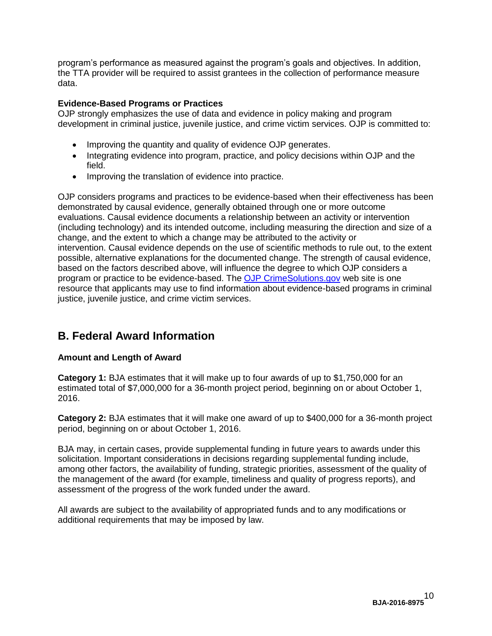program's performance as measured against the program's goals and objectives. In addition, the TTA provider will be required to assist grantees in the collection of performance measure data.

#### <span id="page-9-0"></span>**Evidence-Based Programs or Practices**

OJP strongly emphasizes the use of data and evidence in policy making and program development in criminal justice, juvenile justice, and crime victim services. OJP is committed to:

- Improving the quantity and quality of evidence OJP generates.
- Integrating evidence into program, practice, and policy decisions within OJP and the field.
- Improving the translation of evidence into practice.

OJP considers programs and practices to be evidence-based when their effectiveness has been demonstrated by causal evidence, generally obtained through one or more outcome evaluations. Causal evidence documents a relationship between an activity or intervention (including technology) and its intended outcome, including measuring the direction and size of a change, and the extent to which a change may be attributed to the activity or intervention. Causal evidence depends on the use of scientific methods to rule out, to the extent possible, alternative explanations for the documented change. The strength of causal evidence, based on the factors described above, will influence the degree to which OJP considers a program or practice to be evidence-based. The [OJP CrimeSolutions.gov](http://www.crimesolutions.gov/) web site is one resource that applicants may use to find information about evidence-based programs in criminal justice, juvenile justice, and crime victim services.

# <span id="page-9-1"></span>**B. Federal Award Information**

## **Amount and Length of Award**

**Category 1:** BJA estimates that it will make up to four awards of up to \$1,750,000 for an estimated total of \$7,000,000 for a 36-month project period, beginning on or about October 1, 2016.

**Category 2:** BJA estimates that it will make one award of up to \$400,000 for a 36-month project period, beginning on or about October 1, 2016.

BJA may, in certain cases, provide supplemental funding in future years to awards under this solicitation. Important considerations in decisions regarding supplemental funding include, among other factors, the availability of funding, strategic priorities, assessment of the quality of the management of the award (for example, timeliness and quality of progress reports), and assessment of the progress of the work funded under the award.

All awards are subject to the availability of appropriated funds and to any modifications or additional requirements that may be imposed by law.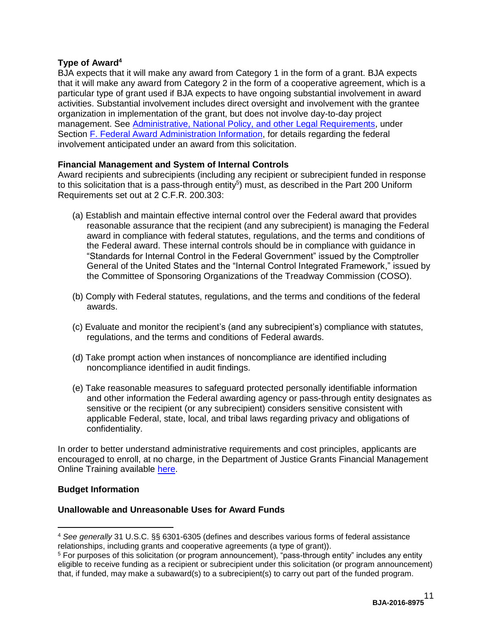#### <span id="page-10-0"></span>**Type of Award<sup>4</sup>**

BJA expects that it will make any award from Category 1 in the form of a grant. BJA expects that it will make any award from Category 2 in the form of a cooperative agreement, which is a particular type of grant used if BJA expects to have ongoing substantial involvement in award activities. Substantial involvement includes direct oversight and involvement with the grantee organization in implementation of the grant, but does not involve day-to-day project management. See [Administrative, National Policy, and other Legal Requirements,](file:///C:/Users/jamesjul/AppData/Local/Microsoft/Windows/Temporary%20Internet%20Files/Content.IE5/EKWFQH3Z/BJA%20FY15%20JRI%20State%20TA_JJ.docx%23_F._Federal_Award_1) under Section [F. Federal Award Administration Information,](file:///C:/Users/jamesjul/AppData/Local/Microsoft/Windows/Temporary%20Internet%20Files/Content.IE5/EKWFQH3Z/BJA%20FY15%20JRI%20State%20TA_JJ.docx%23_F._Federal_Award_1) for details regarding the federal involvement anticipated under an award from this solicitation.

#### <span id="page-10-1"></span>**Financial Management and System of Internal Controls**

Award recipients and subrecipients (including any recipient or subrecipient funded in response to this solicitation that is a pass-through entity<sup>5</sup>) must, as described in the Part 200 Uniform Requirements set out at 2 C.F.R. 200.303:

- (a) Establish and maintain effective internal control over the Federal award that provides reasonable assurance that the recipient (and any subrecipient) is managing the Federal award in compliance with federal statutes, regulations, and the terms and conditions of the Federal award. These internal controls should be in compliance with guidance in "Standards for Internal Control in the Federal Government" issued by the Comptroller General of the United States and the "Internal Control Integrated Framework," issued by the Committee of Sponsoring Organizations of the Treadway Commission (COSO).
- (b) Comply with Federal statutes, regulations, and the terms and conditions of the federal awards.
- (c) Evaluate and monitor the recipient's (and any subrecipient's) compliance with statutes, regulations, and the terms and conditions of Federal awards.
- (d) Take prompt action when instances of noncompliance are identified including noncompliance identified in audit findings.
- (e) Take reasonable measures to safeguard protected personally identifiable information and other information the Federal awarding agency or pass-through entity designates as sensitive or the recipient (or any subrecipient) considers sensitive consistent with applicable Federal, state, local, and tribal laws regarding privacy and obligations of confidentiality.

In order to better understand administrative requirements and cost principles, applicants are encouraged to enroll, at no charge, in the Department of Justice Grants Financial Management Online Training available [here.](http://gfm.webfirst.com/)

#### <span id="page-10-2"></span>**Budget Information**

 $\overline{a}$ 

## **Unallowable and Unreasonable Uses for Award Funds**

<sup>4</sup> *See generally* 31 U.S.C. §§ 6301-6305 (defines and describes various forms of federal assistance relationships, including grants and cooperative agreements (a type of grant)).

<sup>5</sup> For purposes of this solicitation (or program announcement), "pass-through entity" includes any entity eligible to receive funding as a recipient or subrecipient under this solicitation (or program announcement) that, if funded, may make a subaward(s) to a subrecipient(s) to carry out part of the funded program.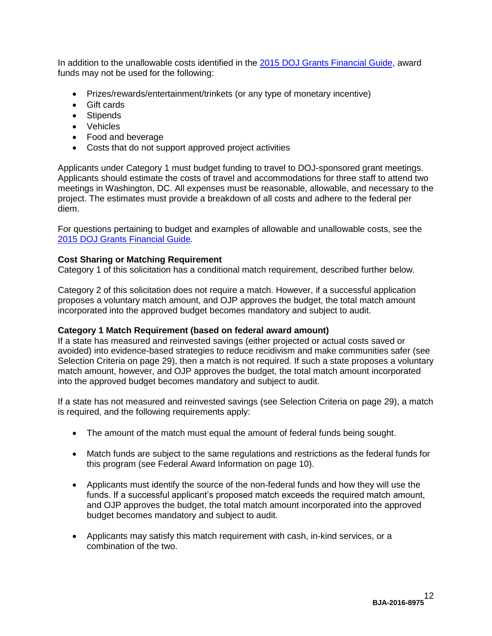In addition to the unallowable costs identified in the [2015 DOJ Grants Financial Guide,](http://www.ojp.gov/financialguide/DOJ/index.htm) award funds may not be used for the following:

- Prizes/rewards/entertainment/trinkets (or any type of monetary incentive)
- Gift cards
- Stipends
- Vehicles
- Food and beverage
- Costs that do not support approved project activities

Applicants under Category 1 must budget funding to travel to DOJ-sponsored grant meetings. Applicants should estimate the costs of travel and accommodations for three staff to attend two meetings in Washington, DC. All expenses must be reasonable, allowable, and necessary to the project. The estimates must provide a breakdown of all costs and adhere to the federal per diem.

For questions pertaining to budget and examples of allowable and unallowable costs, see the [2015 DOJ Grants Financial Guide](http://ojp.gov/financialguide/DOJ/index.htm)*.* 

#### <span id="page-11-0"></span>**Cost Sharing or Matching Requirement**

Category 1 of this solicitation has a conditional match requirement, described further below.

Category 2 of this solicitation does not require a match. However, if a successful application proposes a voluntary match amount, and OJP approves the budget, the total match amount incorporated into the approved budget becomes mandatory and subject to audit.

#### **Category 1 Match Requirement (based on federal award amount)**

If a state has measured and reinvested savings (either projected or actual costs saved or avoided) into evidence-based strategies to reduce recidivism and make communities safer (see Selection Criteria on page [29\)](#page-28-1), then a match is not required. If such a state proposes a voluntary match amount, however, and OJP approves the budget, the total match amount incorporated into the approved budget becomes mandatory and subject to audit.

If a state has not measured and reinvested savings (see Selection Criteria on page 29), a match is required, and the following requirements apply:

- The amount of the match must equal the amount of federal funds being sought.
- Match funds are subject to the same regulations and restrictions as the federal funds for this program (see Federal Award Information on page [10\)](#page-9-1).
- Applicants must identify the source of the non-federal funds and how they will use the funds. If a successful applicant's proposed match exceeds the required match amount, and OJP approves the budget, the total match amount incorporated into the approved budget becomes mandatory and subject to audit.
- Applicants may satisfy this match requirement with cash, in-kind services, or a combination of the two.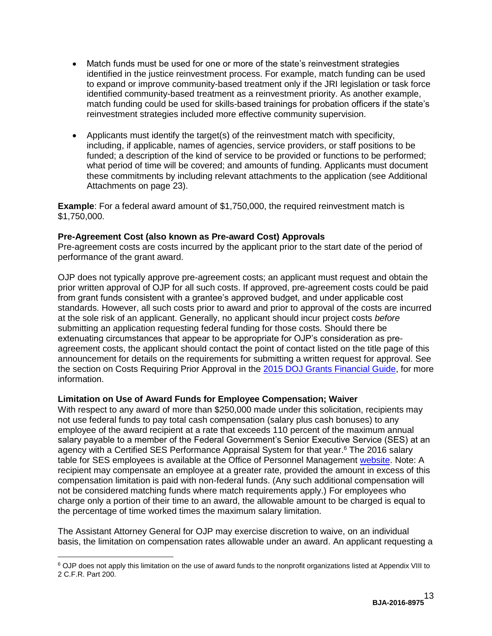- Match funds must be used for one or more of the state's reinvestment strategies identified in the justice reinvestment process. For example, match funding can be used to expand or improve community-based treatment only if the JRI legislation or task force identified community-based treatment as a reinvestment priority. As another example, match funding could be used for skills-based trainings for probation officers if the state's reinvestment strategies included more effective community supervision.
- Applicants must identify the target(s) of the reinvestment match with specificity, including, if applicable, names of agencies, service providers, or staff positions to be funded; a description of the kind of service to be provided or functions to be performed; what period of time will be covered; and amounts of funding. Applicants must document these commitments by including relevant attachments to the application (see Additional Attachments on page [23\)](#page-22-0).

**Example**: For a federal award amount of \$1,750,000, the required reinvestment match is \$1,750,000.

#### <span id="page-12-0"></span>**Pre-Agreement Cost (also known as Pre-award Cost) Approvals**

Pre-agreement costs are costs incurred by the applicant prior to the start date of the period of performance of the grant award.

OJP does not typically approve pre-agreement costs; an applicant must request and obtain the prior written approval of OJP for all such costs. If approved, pre-agreement costs could be paid from grant funds consistent with a grantee's approved budget, and under applicable cost standards. However, all such costs prior to award and prior to approval of the costs are incurred at the sole risk of an applicant. Generally, no applicant should incur project costs *before* submitting an application requesting federal funding for those costs. Should there be extenuating circumstances that appear to be appropriate for OJP's consideration as preagreement costs, the applicant should contact the point of contact listed on the title page of this announcement for details on the requirements for submitting a written request for approval. See the section on Costs Requiring Prior Approval in the [2015 DOJ Grants Financial Guide,](http://ojp.gov/financialguide/DOJ/index.htm) for more information.

#### <span id="page-12-1"></span>**Limitation on Use of Award Funds for Employee Compensation; Waiver**

 $\overline{a}$ 

With respect to any award of more than \$250,000 made under this solicitation, recipients may not use federal funds to pay total cash compensation (salary plus cash bonuses) to any employee of the award recipient at a rate that exceeds 110 percent of the maximum annual salary payable to a member of the Federal Government's Senior Executive Service (SES) at an agency with a Certified SES Performance Appraisal System for that year.<sup>6</sup> The 2016 salary table for SES employees is available at the Office of Personnel Management [website.](http://www.opm.gov/policy-data-oversight/pay-leave/salaries-wages/salary-tables/16Tables/exec/html/ES.aspx) Note: A recipient may compensate an employee at a greater rate, provided the amount in excess of this compensation limitation is paid with non-federal funds. (Any such additional compensation will not be considered matching funds where match requirements apply.) For employees who charge only a portion of their time to an award, the allowable amount to be charged is equal to the percentage of time worked times the maximum salary limitation.

The Assistant Attorney General for OJP may exercise discretion to waive, on an individual basis, the limitation on compensation rates allowable under an award. An applicant requesting a

<sup>6</sup> OJP does not apply this limitation on the use of award funds to the nonprofit organizations listed at Appendix VIII to 2 C.F.R. Part 200.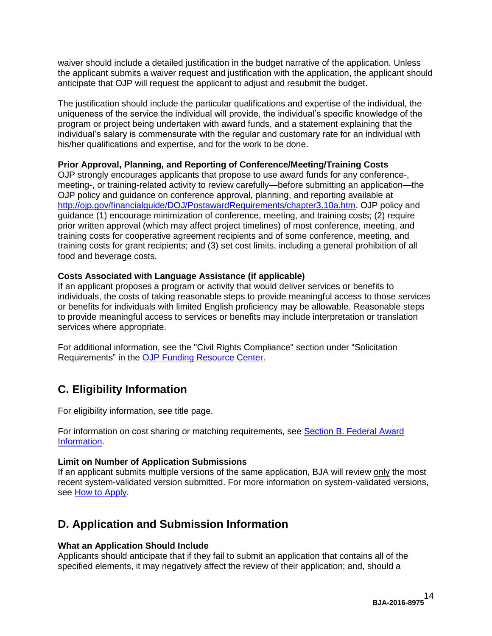waiver should include a detailed justification in the budget narrative of the application. Unless the applicant submits a waiver request and justification with the application, the applicant should anticipate that OJP will request the applicant to adjust and resubmit the budget.

The justification should include the particular qualifications and expertise of the individual, the uniqueness of the service the individual will provide, the individual's specific knowledge of the program or project being undertaken with award funds, and a statement explaining that the individual's salary is commensurate with the regular and customary rate for an individual with his/her qualifications and expertise, and for the work to be done.

#### <span id="page-13-1"></span>**Prior Approval, Planning, and Reporting of Conference/Meeting/Training Costs**

OJP strongly encourages applicants that propose to use award funds for any conference-, meeting-, or training-related activity to review carefully—before submitting an application—the OJP policy and guidance on conference approval, planning, and reporting available at [http://ojp.gov/financialguide/DOJ/PostawardRequirements/chapter3.10a.htm.](http://ojp.gov/financialguide/DOJ/PostawardRequirements/chapter3.10a.htm) OJP policy and guidance (1) encourage minimization of conference, meeting, and training costs; (2) require prior written approval (which may affect project timelines) of most conference, meeting, and training costs for cooperative agreement recipients and of some conference, meeting, and training costs for grant recipients; and (3) set cost limits, including a general prohibition of all food and beverage costs.

#### <span id="page-13-2"></span>**Costs Associated with Language Assistance (if applicable)**

If an applicant proposes a program or activity that would deliver services or benefits to individuals, the costs of taking reasonable steps to provide meaningful access to those services or benefits for individuals with limited English proficiency may be allowable. Reasonable steps to provide meaningful access to services or benefits may include interpretation or translation services where appropriate.

For additional information, see the "Civil Rights Compliance" section under "Solicitation Requirements" in the [OJP Funding Resource Center.](http://ojp.gov/funding/index.htm)

# <span id="page-13-3"></span>**C. Eligibility Information**

For eligibility information, see title page.

For information on cost sharing or matching requirements, see [Section B. Federal Award](#page-9-1)  **Information** 

#### <span id="page-13-4"></span>**Limit on Number of Application Submissions**

If an applicant submits multiple versions of the same application, BJA will review only the most recent system-validated version submitted. For more information on system-validated versions, see [How to Apply.](#page-24-0)

# <span id="page-13-0"></span>**D. Application and Submission Information**

## <span id="page-13-5"></span>**What an Application Should Include**

Applicants should anticipate that if they fail to submit an application that contains all of the specified elements, it may negatively affect the review of their application; and, should a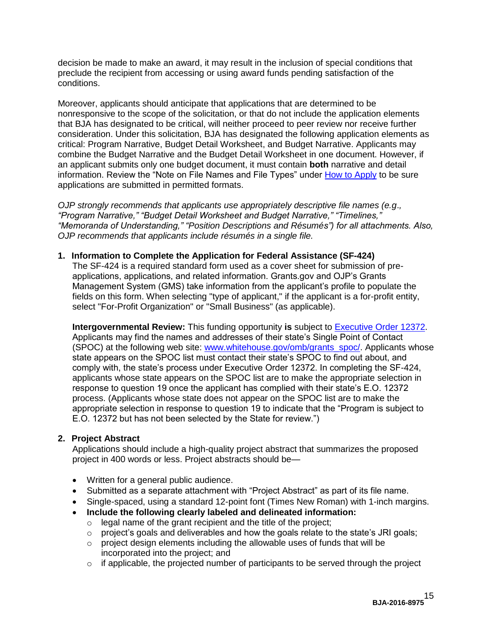decision be made to make an award, it may result in the inclusion of special conditions that preclude the recipient from accessing or using award funds pending satisfaction of the conditions.

Moreover, applicants should anticipate that applications that are determined to be nonresponsive to the scope of the solicitation, or that do not include the application elements that BJA has designated to be critical, will neither proceed to peer review nor receive further consideration. Under this solicitation, BJA has designated the following application elements as critical: Program Narrative, Budget Detail Worksheet, and Budget Narrative. Applicants may combine the Budget Narrative and the Budget Detail Worksheet in one document. However, if an applicant submits only one budget document, it must contain **both** narrative and detail information. Review the "Note on File Names and File Types" under [How to Apply](#page-24-0) to be sure applications are submitted in permitted formats.

*OJP strongly recommends that applicants use appropriately descriptive file names (e.g*.*, "Program Narrative," "Budget Detail Worksheet and Budget Narrative," "Timelines," "Memoranda of Understanding," "Position Descriptions and Résumés") for all attachments. Also, OJP recommends that applicants include résumés in a single file.*

<span id="page-14-0"></span>**1. Information to Complete the Application for Federal Assistance (SF-424)**

The SF-424 is a required standard form used as a cover sheet for submission of preapplications, applications, and related information. Grants.gov and OJP's Grants Management System (GMS) take information from the applicant's profile to populate the fields on this form. When selecting "type of applicant," if the applicant is a for-profit entity, select "For-Profit Organization" or "Small Business" (as applicable).

**Intergovernmental Review:** This funding opportunity is subject to **Executive Order 12372**. Applicants may find the names and addresses of their state's Single Point of Contact (SPOC) at the following web site: [www.whitehouse.gov/omb/grants\\_spoc/.](http://www.whitehouse.gov/omb/grants_spoc/) Applicants whose state appears on the SPOC list must contact their state's SPOC to find out about, and comply with, the state's process under Executive Order 12372. In completing the SF-424, applicants whose state appears on the SPOC list are to make the appropriate selection in response to question 19 once the applicant has complied with their state's E.O. 12372 process. (Applicants whose state does not appear on the SPOC list are to make the appropriate selection in response to question 19 to indicate that the "Program is subject to E.O. 12372 but has not been selected by the State for review.")

#### <span id="page-14-1"></span>**2. Project Abstract**

Applications should include a high-quality project abstract that summarizes the proposed project in 400 words or less. Project abstracts should be—

- Written for a general public audience.
- Submitted as a separate attachment with "Project Abstract" as part of its file name.
- Single-spaced, using a standard 12-point font (Times New Roman) with 1-inch margins.
- **Include the following clearly labeled and delineated information:**
	- $\circ$  legal name of the grant recipient and the title of the project;
	- $\circ$  project's goals and deliverables and how the goals relate to the state's JRI goals;
	- o project design elements including the allowable uses of funds that will be incorporated into the project; and
	- $\circ$  if applicable, the projected number of participants to be served through the project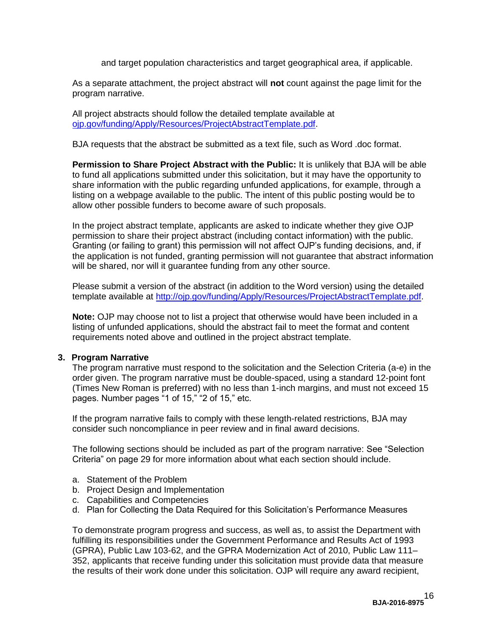and target population characteristics and target geographical area, if applicable.

As a separate attachment, the project abstract will **not** count against the page limit for the program narrative.

All project abstracts should follow the detailed template available at [ojp.gov/funding/Apply/Resources/ProjectAbstractTemplate.pdf.](http://ojp.gov/funding/Apply/Resources/ProjectAbstractTemplate.pdf)

BJA requests that the abstract be submitted as a text file, such as Word .doc format.

**Permission to Share Project Abstract with the Public:** It is unlikely that BJA will be able to fund all applications submitted under this solicitation, but it may have the opportunity to share information with the public regarding unfunded applications, for example, through a listing on a webpage available to the public. The intent of this public posting would be to allow other possible funders to become aware of such proposals.

In the project abstract template, applicants are asked to indicate whether they give OJP permission to share their project abstract (including contact information) with the public. Granting (or failing to grant) this permission will not affect OJP's funding decisions, and, if the application is not funded, granting permission will not guarantee that abstract information will be shared, nor will it guarantee funding from any other source.

Please submit a version of the abstract (in addition to the Word version) using the detailed template available at [http://ojp.gov/funding/Apply/Resources/ProjectAbstractTemplate.pdf.](http://ojp.gov/funding/Apply/Resources/ProjectAbstractTemplate.pdf)

**Note:** OJP may choose not to list a project that otherwise would have been included in a listing of unfunded applications, should the abstract fail to meet the format and content requirements noted above and outlined in the project abstract template.

#### <span id="page-15-1"></span>**3. Program Narrative**

The program narrative must respond to the solicitation and the Selection Criteria (a-e) in the order given. The program narrative must be double-spaced, using a standard 12-point font (Times New Roman is preferred) with no less than 1-inch margins, and must not exceed 15 pages. Number pages "1 of 15," "2 of 15," etc.

If the program narrative fails to comply with these length-related restrictions, BJA may consider such noncompliance in peer review and in final award decisions.

The following sections should be included as part of the program narrative: See "Selection Criteria" on page [29](#page-28-1) for more information about what each section should include.

- a. Statement of the Problem
- b. Project Design and Implementation
- c. Capabilities and Competencies
- <span id="page-15-0"></span>d. Plan for Collecting the Data Required for this Solicitation's Performance Measures

To demonstrate program progress and success, as well as, to assist the Department with fulfilling its responsibilities under the Government Performance and Results Act of 1993 (GPRA), Public Law 103-62, and the GPRA Modernization Act of 2010, Public Law 111– 352, applicants that receive funding under this solicitation must provide data that measure the results of their work done under this solicitation. OJP will require any award recipient,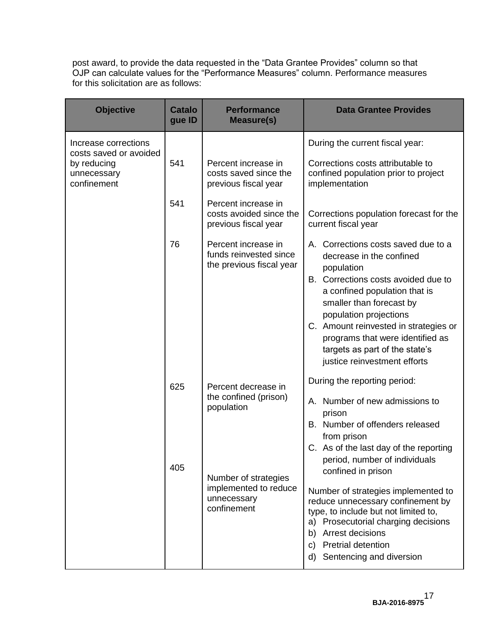post award, to provide the data requested in the "Data Grantee Provides" column so that OJP can calculate values for the "Performance Measures" column. Performance measures for this solicitation are as follows:

| <b>Objective</b>                                                                            | <b>Catalo</b><br>gue ID | <b>Performance</b><br><b>Measure(s)</b>                                                                                                                                                                                     | <b>Data Grantee Provides</b>                                                                                                                                                                                                                                                                                                                                                                                                                                                                                                   |
|---------------------------------------------------------------------------------------------|-------------------------|-----------------------------------------------------------------------------------------------------------------------------------------------------------------------------------------------------------------------------|--------------------------------------------------------------------------------------------------------------------------------------------------------------------------------------------------------------------------------------------------------------------------------------------------------------------------------------------------------------------------------------------------------------------------------------------------------------------------------------------------------------------------------|
| Increase corrections<br>costs saved or avoided<br>by reducing<br>unnecessary<br>confinement | 541<br>541<br>76        | Percent increase in<br>costs saved since the<br>previous fiscal year<br>Percent increase in<br>costs avoided since the<br>previous fiscal year<br>Percent increase in<br>funds reinvested since<br>the previous fiscal year | During the current fiscal year:<br>Corrections costs attributable to<br>confined population prior to project<br>implementation<br>Corrections population forecast for the<br>current fiscal year<br>A. Corrections costs saved due to a<br>decrease in the confined<br>population<br>B. Corrections costs avoided due to<br>a confined population that is<br>smaller than forecast by<br>population projections<br>C. Amount reinvested in strategies or<br>programs that were identified as<br>targets as part of the state's |
|                                                                                             | 625<br>405              | Percent decrease in<br>the confined (prison)<br>population<br>Number of strategies<br>implemented to reduce<br>unnecessary<br>confinement                                                                                   | justice reinvestment efforts<br>During the reporting period:<br>A. Number of new admissions to<br>prison<br>B. Number of offenders released<br>from prison<br>C. As of the last day of the reporting<br>period, number of individuals<br>confined in prison<br>Number of strategies implemented to<br>reduce unnecessary confinement by<br>type, to include but not limited to,<br>Prosecutorial charging decisions<br>a)<br>Arrest decisions<br>b)<br><b>Pretrial detention</b><br>C)<br>Sentencing and diversion<br>d)       |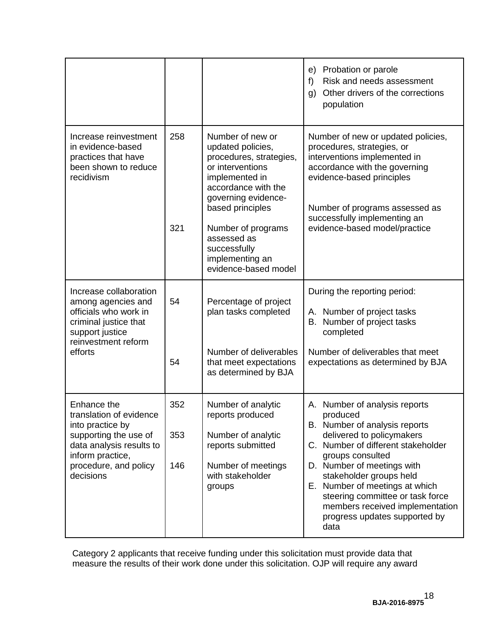|                                                                                                                                                                           |                   |                                                                                                                                                                                                                                                                          | e) Probation or parole<br>f<br>Risk and needs assessment<br>Other drivers of the corrections<br>g)<br>population                                                                                                                                                                                                                                                             |
|---------------------------------------------------------------------------------------------------------------------------------------------------------------------------|-------------------|--------------------------------------------------------------------------------------------------------------------------------------------------------------------------------------------------------------------------------------------------------------------------|------------------------------------------------------------------------------------------------------------------------------------------------------------------------------------------------------------------------------------------------------------------------------------------------------------------------------------------------------------------------------|
| Increase reinvestment<br>in evidence-based<br>practices that have<br>been shown to reduce<br>recidivism                                                                   | 258<br>321        | Number of new or<br>updated policies,<br>procedures, strategies,<br>or interventions<br>implemented in<br>accordance with the<br>governing evidence-<br>based principles<br>Number of programs<br>assessed as<br>successfully<br>implementing an<br>evidence-based model | Number of new or updated policies,<br>procedures, strategies, or<br>interventions implemented in<br>accordance with the governing<br>evidence-based principles<br>Number of programs assessed as<br>successfully implementing an<br>evidence-based model/practice                                                                                                            |
| Increase collaboration<br>among agencies and<br>officials who work in<br>criminal justice that<br>support justice<br>reinvestment reform<br>efforts                       | 54<br>54          | Percentage of project<br>plan tasks completed<br>Number of deliverables<br>that meet expectations<br>as determined by BJA                                                                                                                                                | During the reporting period:<br>A. Number of project tasks<br>Number of project tasks<br>В.<br>completed<br>Number of deliverables that meet<br>expectations as determined by BJA                                                                                                                                                                                            |
| Enhance the<br>translation of evidence<br>into practice by<br>supporting the use of<br>data analysis results to<br>inform practice,<br>procedure, and policy<br>decisions | 352<br>353<br>146 | Number of analytic<br>reports produced<br>Number of analytic<br>reports submitted<br>Number of meetings<br>with stakeholder<br>groups                                                                                                                                    | A. Number of analysis reports<br>produced<br>B. Number of analysis reports<br>delivered to policymakers<br>C. Number of different stakeholder<br>groups consulted<br>D. Number of meetings with<br>stakeholder groups held<br>E. Number of meetings at which<br>steering committee or task force<br>members received implementation<br>progress updates supported by<br>data |

Category 2 applicants that receive funding under this solicitation must provide data that measure the results of their work done under this solicitation. OJP will require any award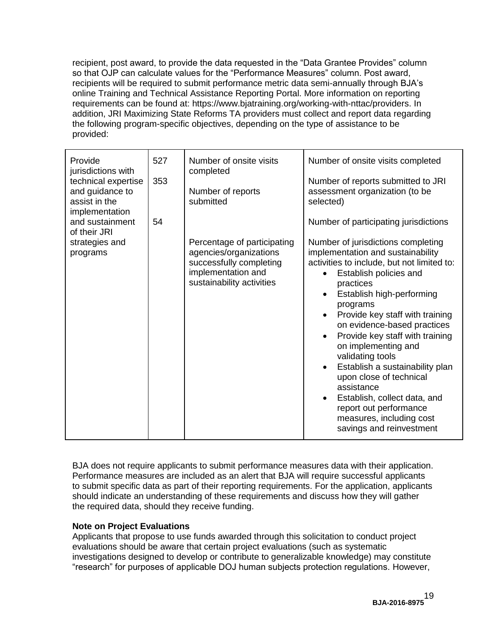recipient, post award, to provide the data requested in the "Data Grantee Provides" column so that OJP can calculate values for the "Performance Measures" column. Post award, recipients will be required to submit performance metric data semi-annually through BJA's online Training and Technical Assistance Reporting Portal. More information on reporting requirements can be found at: https://www.bjatraining.org/working-with-nttac/providers. In addition, JRI Maximizing State Reforms TA providers must collect and report data regarding the following program-specific objectives, depending on the type of assistance to be provided:

| Provide<br>jurisdictions with<br>technical expertise<br>and guidance to<br>assist in the<br>implementation<br>and sustainment<br>of their JRI<br>strategies and<br>programs | 527<br>Number of onsite visits<br>completed<br>353<br>Number of reports<br>submitted<br>54<br>Percentage of participating<br>agencies/organizations<br>successfully completing<br>implementation and<br>sustainability activities |                                                                  | Number of onsite visits completed<br>Number of reports submitted to JRI<br>assessment organization (to be<br>selected)<br>Number of participating jurisdictions<br>Number of jurisdictions completing<br>implementation and sustainability<br>activities to include, but not limited to:<br>Establish policies and<br>$\bullet$<br>practices<br>Establish high-performing<br>$\bullet$<br>programs<br>Provide key staff with training<br>$\bullet$<br>on evidence-based practices<br>Provide key staff with training<br>$\bullet$<br>on implementing and |
|-----------------------------------------------------------------------------------------------------------------------------------------------------------------------------|-----------------------------------------------------------------------------------------------------------------------------------------------------------------------------------------------------------------------------------|------------------------------------------------------------------|----------------------------------------------------------------------------------------------------------------------------------------------------------------------------------------------------------------------------------------------------------------------------------------------------------------------------------------------------------------------------------------------------------------------------------------------------------------------------------------------------------------------------------------------------------|
|                                                                                                                                                                             |                                                                                                                                                                                                                                   | validating tools<br>Establish a sustainability plan<br>$\bullet$ |                                                                                                                                                                                                                                                                                                                                                                                                                                                                                                                                                          |
|                                                                                                                                                                             |                                                                                                                                                                                                                                   |                                                                  | upon close of technical<br>assistance<br>Establish, collect data, and<br>$\bullet$<br>report out performance<br>measures, including cost<br>savings and reinvestment                                                                                                                                                                                                                                                                                                                                                                                     |

BJA does not require applicants to submit performance measures data with their application. Performance measures are included as an alert that BJA will require successful applicants to submit specific data as part of their reporting requirements. For the application, applicants should indicate an understanding of these requirements and discuss how they will gather the required data, should they receive funding.

#### **Note on Project Evaluations**

Applicants that propose to use funds awarded through this solicitation to conduct project evaluations should be aware that certain project evaluations (such as systematic investigations designed to develop or contribute to generalizable knowledge) may constitute "research" for purposes of applicable DOJ human subjects protection regulations. However,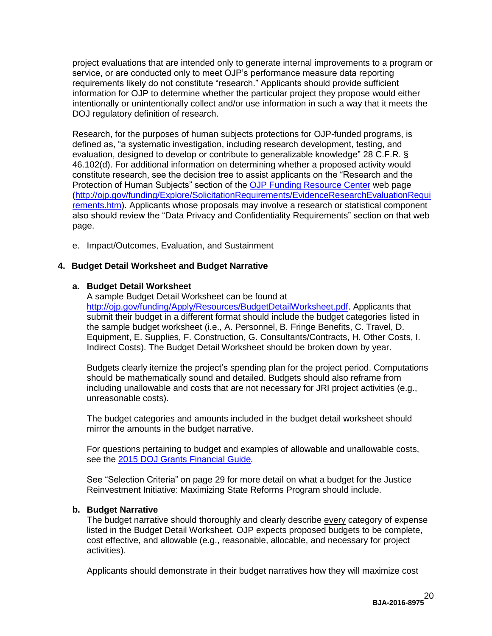project evaluations that are intended only to generate internal improvements to a program or service, or are conducted only to meet OJP's performance measure data reporting requirements likely do not constitute "research." Applicants should provide sufficient information for OJP to determine whether the particular project they propose would either intentionally or unintentionally collect and/or use information in such a way that it meets the DOJ regulatory definition of research.

Research, for the purposes of human subjects protections for OJP-funded programs, is defined as, "a systematic investigation, including research development, testing, and evaluation, designed to develop or contribute to generalizable knowledge" 28 C.F.R. § 46.102(d). For additional information on determining whether a proposed activity would constitute research, see the decision tree to assist applicants on the "Research and the Protection of Human Subjects" section of the [OJP Funding Resource Center](http://ojp.gov/funding/index.htm) web page [\(http://ojp.gov/funding/Explore/SolicitationRequirements/EvidenceResearchEvaluationRequi](http://ojp.gov/funding/Explore/SolicitationRequirements/EvidenceResearchEvaluationRequirements.htm) [rements.htm\)](http://ojp.gov/funding/Explore/SolicitationRequirements/EvidenceResearchEvaluationRequirements.htm). Applicants whose proposals may involve a research or statistical component also should review the "Data Privacy and Confidentiality Requirements" section on that web page.

e. Impact/Outcomes, Evaluation, and Sustainment

#### **4. Budget Detail Worksheet and Budget Narrative**

#### <span id="page-19-0"></span>**a. Budget Detail Worksheet**

A sample Budget Detail Worksheet can be found at [http://ojp.gov/funding/Apply/Resources/BudgetDetailWorksheet.pdf.](http://ojp.gov/funding/Apply/Resources/BudgetDetailWorksheet.pdf) Applicants that submit their budget in a different format should include the budget categories listed in the sample budget worksheet (i.e., A. Personnel, B. Fringe Benefits, C. Travel, D. Equipment, E. Supplies, F. Construction, G. Consultants/Contracts, H. Other Costs, I. Indirect Costs). The Budget Detail Worksheet should be broken down by year.

Budgets clearly itemize the project's spending plan for the project period. Computations should be mathematically sound and detailed. Budgets should also reframe from including unallowable and costs that are not necessary for JRI project activities (e.g., unreasonable costs).

The budget categories and amounts included in the budget detail worksheet should mirror the amounts in the budget narrative.

For questions pertaining to budget and examples of allowable and unallowable costs, see the [2015 DOJ Grants Financial Guide](http://ojp.gov/financialguide/DOJ/index.htm)*.*

See "Selection Criteria" on page [29](#page-28-1) for more detail on what a budget for the Justice Reinvestment Initiative: Maximizing State Reforms Program should include.

## <span id="page-19-1"></span>**b. Budget Narrative**

The budget narrative should thoroughly and clearly describe every category of expense listed in the Budget Detail Worksheet. OJP expects proposed budgets to be complete, cost effective, and allowable (e.g., reasonable, allocable, and necessary for project activities).

Applicants should demonstrate in their budget narratives how they will maximize cost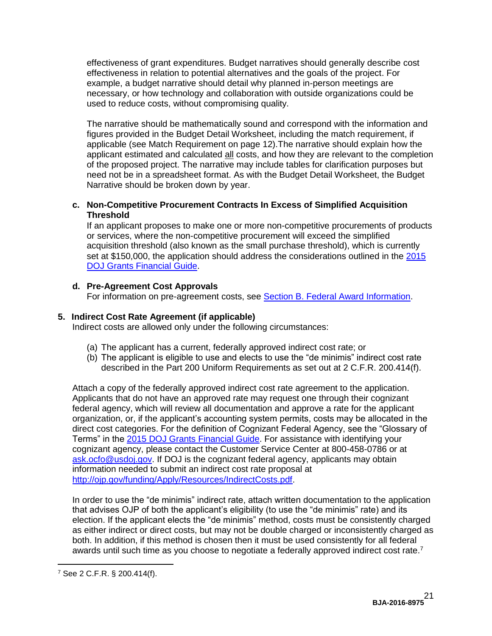effectiveness of grant expenditures. Budget narratives should generally describe cost effectiveness in relation to potential alternatives and the goals of the project. For example, a budget narrative should detail why planned in-person meetings are necessary, or how technology and collaboration with outside organizations could be used to reduce costs, without compromising quality.

The narrative should be mathematically sound and correspond with the information and figures provided in the Budget Detail Worksheet, including the match requirement, if applicable (see Match Requirement on page [12\)](#page-11-0).The narrative should explain how the applicant estimated and calculated all costs, and how they are relevant to the completion of the proposed project. The narrative may include tables for clarification purposes but need not be in a spreadsheet format. As with the Budget Detail Worksheet, the Budget Narrative should be broken down by year.

#### **c. Non-Competitive Procurement Contracts In Excess of Simplified Acquisition Threshold**

If an applicant proposes to make one or more non-competitive procurements of products or services, where the non-competitive procurement will exceed the simplified acquisition threshold (also known as the small purchase threshold), which is currently set at \$150,000, the application should address the considerations outlined in the [2015](http://ojp.gov/financialguide/DOJ/index.htm)  [DOJ Grants Financial Guide.](http://ojp.gov/financialguide/DOJ/index.htm)

#### **d. Pre-Agreement Cost Approvals**

For information on pre-agreement costs, see [Section B. Federal Award Information.](#page-9-1)

#### <span id="page-20-0"></span>**5. Indirect Cost Rate Agreement (if applicable)**

Indirect costs are allowed only under the following circumstances:

- (a) The applicant has a current, federally approved indirect cost rate; or
- (b) The applicant is eligible to use and elects to use the "de minimis" indirect cost rate described in the Part 200 Uniform Requirements as set out at 2 C.F.R. 200.414(f).

Attach a copy of the federally approved indirect cost rate agreement to the application. Applicants that do not have an approved rate may request one through their cognizant federal agency, which will review all documentation and approve a rate for the applicant organization, or, if the applicant's accounting system permits, costs may be allocated in the direct cost categories. For the definition of Cognizant Federal Agency, see the "Glossary of Terms" in the [2015 DOJ Grants Financial Guide.](http://ojp.gov/financialguide/DOJ/index.htm) For assistance with identifying your cognizant agency, please contact the Customer Service Center at 800-458-0786 or at [ask.ocfo@usdoj.gov.](mailto:ask.ocfo@usdoj.gov) If DOJ is the cognizant federal agency, applicants may obtain information needed to submit an indirect cost rate proposal at [http://ojp.gov/funding/Apply/Resources/IndirectCosts.pdf.](http://ojp.gov/funding/Apply/Resources/IndirectCosts.pdf)

In order to use the "de minimis" indirect rate, attach written documentation to the application that advises OJP of both the applicant's eligibility (to use the "de minimis" rate) and its election. If the applicant elects the "de minimis" method, costs must be consistently charged as either indirect or direct costs, but may not be double charged or inconsistently charged as both. In addition, if this method is chosen then it must be used consistently for all federal awards until such time as you choose to negotiate a federally approved indirect cost rate.<sup>7</sup>

 $\overline{a}$ 

<sup>7</sup> See 2 C.F.R. § 200.414(f).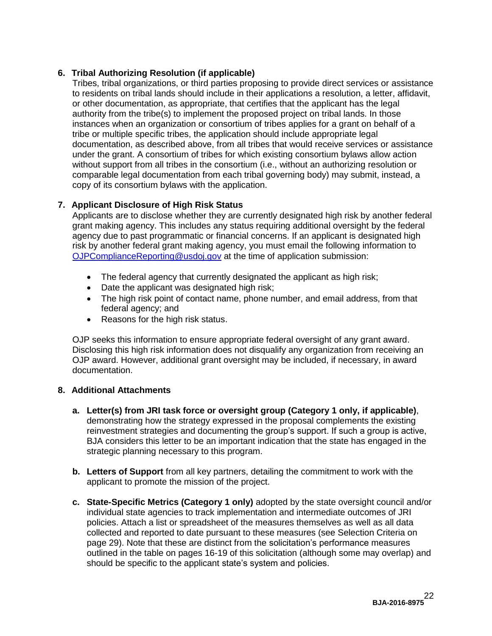## <span id="page-21-2"></span>**6. Tribal Authorizing Resolution (if applicable)**

Tribes, tribal organizations, or third parties proposing to provide direct services or assistance to residents on tribal lands should include in their applications a resolution, a letter, affidavit, or other documentation, as appropriate, that certifies that the applicant has the legal authority from the tribe(s) to implement the proposed project on tribal lands. In those instances when an organization or consortium of tribes applies for a grant on behalf of a tribe or multiple specific tribes, the application should include appropriate legal documentation, as described above, from all tribes that would receive services or assistance under the grant. A consortium of tribes for which existing consortium bylaws allow action without support from all tribes in the consortium (i.e., without an authorizing resolution or comparable legal documentation from each tribal governing body) may submit, instead, a copy of its consortium bylaws with the application.

#### <span id="page-21-3"></span>**7. Applicant Disclosure of High Risk Status**

Applicants are to disclose whether they are currently designated high risk by another federal grant making agency. This includes any status requiring additional oversight by the federal agency due to past programmatic or financial concerns. If an applicant is designated high risk by another federal grant making agency, you must email the following information to [OJPComplianceReporting@usdoj.gov](mailto:OJPComplianceReporting@usdoj.gov) at the time of application submission:

- The federal agency that currently designated the applicant as high risk;
- Date the applicant was designated high risk;
- The high risk point of contact name, phone number, and email address, from that federal agency; and
- Reasons for the high risk status.

OJP seeks this information to ensure appropriate federal oversight of any grant award. Disclosing this high risk information does not disqualify any organization from receiving an OJP award. However, additional grant oversight may be included, if necessary, in award documentation.

#### <span id="page-21-0"></span>**8. Additional Attachments**

- <span id="page-21-1"></span>**a. Letter(s) from JRI task force or oversight group (Category 1 only, if applicable)**, demonstrating how the strategy expressed in the proposal complements the existing reinvestment strategies and documenting the group's support. If such a group is active, BJA considers this letter to be an important indication that the state has engaged in the strategic planning necessary to this program.
- <span id="page-21-4"></span>**b. Letters of Support** from all key partners, detailing the commitment to work with the applicant to promote the mission of the project.
- <span id="page-21-5"></span>**c. State-Specific Metrics (Category 1 only)** adopted by the state oversight council and/or individual state agencies to track implementation and intermediate outcomes of JRI policies. Attach a list or spreadsheet of the measures themselves as well as all data collected and reported to date pursuant to these measures (see Selection Criteria on page 29). Note that these are distinct from the solicitation's performance measures outlined in the table on pages [16-](#page-15-0)19 of this solicitation (although some may overlap) and should be specific to the applicant state's system and policies.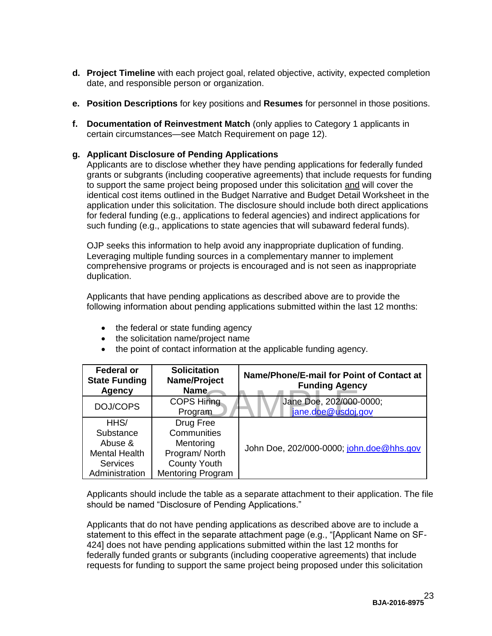- <span id="page-22-1"></span>**d. Project Timeline** with each project goal, related objective, activity, expected completion date, and responsible person or organization.
- <span id="page-22-2"></span>**e. Position Descriptions** for key positions and **Resumes** for personnel in those positions.
- <span id="page-22-0"></span>**f. Documentation of Reinvestment Match** (only applies to Category 1 applicants in certain circumstances—see Match Requirement on page [12\)](#page-11-0).

#### <span id="page-22-3"></span>**g. Applicant Disclosure of Pending Applications**

Applicants are to disclose whether they have pending applications for federally funded grants or subgrants (including cooperative agreements) that include requests for funding to support the same project being proposed under this solicitation and will cover the identical cost items outlined in the Budget Narrative and Budget Detail Worksheet in the application under this solicitation. The disclosure should include both direct applications for federal funding (e.g., applications to federal agencies) and indirect applications for such funding (e.g., applications to state agencies that will subaward federal funds).

OJP seeks this information to help avoid any inappropriate duplication of funding. Leveraging multiple funding sources in a complementary manner to implement comprehensive programs or projects is encouraged and is not seen as inappropriate duplication.

Applicants that have pending applications as described above are to provide the following information about pending applications submitted within the last 12 months:

- the federal or state funding agency
- the solicitation name/project name
- the point of contact information at the applicable funding agency.

| <b>Federal or</b><br><b>State Funding</b><br><b>Agency</b> | <b>Solicitation</b><br>Name/Project<br><b>Name</b> | Name/Phone/E-mail for Point of Contact at<br><b>Funding Agency</b> |
|------------------------------------------------------------|----------------------------------------------------|--------------------------------------------------------------------|
| DOJ/COPS                                                   | <b>COPS Hiring</b>                                 | Jane Doe, 202/000-0000;                                            |
|                                                            | Program                                            | jane.doe@usdoj.gov                                                 |
| HHS/                                                       | Drug Free                                          |                                                                    |
| Substance                                                  | Communities                                        |                                                                    |
| Abuse &                                                    | Mentoring                                          | John Doe, 202/000-0000; john.doe@hhs.gov                           |
| <b>Mental Health</b>                                       | Program/North                                      |                                                                    |
| <b>Services</b>                                            | <b>County Youth</b>                                |                                                                    |
| Administration                                             | <b>Mentoring Program</b>                           |                                                                    |

Applicants should include the table as a separate attachment to their application. The file should be named "Disclosure of Pending Applications."

Applicants that do not have pending applications as described above are to include a statement to this effect in the separate attachment page (e.g., "[Applicant Name on SF-424] does not have pending applications submitted within the last 12 months for federally funded grants or subgrants (including cooperative agreements) that include requests for funding to support the same project being proposed under this solicitation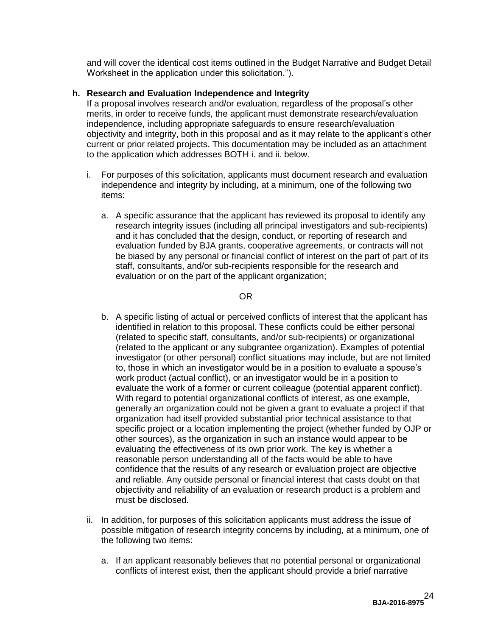and will cover the identical cost items outlined in the Budget Narrative and Budget Detail Worksheet in the application under this solicitation.").

#### <span id="page-23-0"></span>**h. Research and Evaluation Independence and Integrity**

If a proposal involves research and/or evaluation, regardless of the proposal's other merits, in order to receive funds, the applicant must demonstrate research/evaluation independence, including appropriate safeguards to ensure research/evaluation objectivity and integrity, both in this proposal and as it may relate to the applicant's other current or prior related projects. This documentation may be included as an attachment to the application which addresses BOTH i. and ii. below.

- i. For purposes of this solicitation, applicants must document research and evaluation independence and integrity by including, at a minimum, one of the following two items:
	- a. A specific assurance that the applicant has reviewed its proposal to identify any research integrity issues (including all principal investigators and sub-recipients) and it has concluded that the design, conduct, or reporting of research and evaluation funded by BJA grants, cooperative agreements, or contracts will not be biased by any personal or financial conflict of interest on the part of part of its staff, consultants, and/or sub-recipients responsible for the research and evaluation or on the part of the applicant organization;

#### OR

- b. A specific listing of actual or perceived conflicts of interest that the applicant has identified in relation to this proposal. These conflicts could be either personal (related to specific staff, consultants, and/or sub-recipients) or organizational (related to the applicant or any subgrantee organization). Examples of potential investigator (or other personal) conflict situations may include, but are not limited to, those in which an investigator would be in a position to evaluate a spouse's work product (actual conflict), or an investigator would be in a position to evaluate the work of a former or current colleague (potential apparent conflict). With regard to potential organizational conflicts of interest, as one example, generally an organization could not be given a grant to evaluate a project if that organization had itself provided substantial prior technical assistance to that specific project or a location implementing the project (whether funded by OJP or other sources), as the organization in such an instance would appear to be evaluating the effectiveness of its own prior work. The key is whether a reasonable person understanding all of the facts would be able to have confidence that the results of any research or evaluation project are objective and reliable. Any outside personal or financial interest that casts doubt on that objectivity and reliability of an evaluation or research product is a problem and must be disclosed.
- ii. In addition, for purposes of this solicitation applicants must address the issue of possible mitigation of research integrity concerns by including, at a minimum, one of the following two items:
	- a. If an applicant reasonably believes that no potential personal or organizational conflicts of interest exist, then the applicant should provide a brief narrative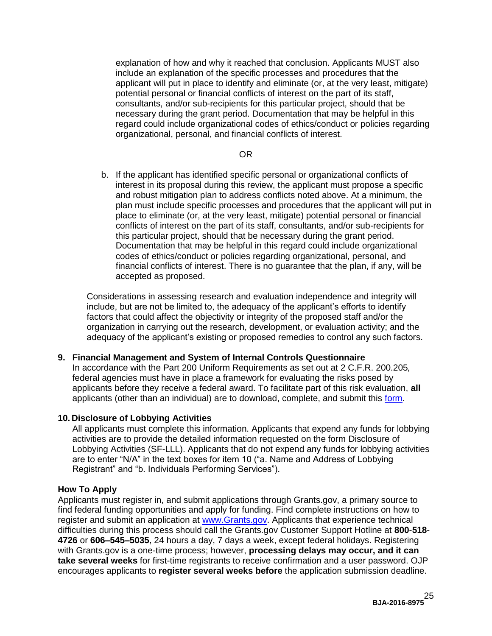explanation of how and why it reached that conclusion. Applicants MUST also include an explanation of the specific processes and procedures that the applicant will put in place to identify and eliminate (or, at the very least, mitigate) potential personal or financial conflicts of interest on the part of its staff, consultants, and/or sub-recipients for this particular project, should that be necessary during the grant period. Documentation that may be helpful in this regard could include organizational codes of ethics/conduct or policies regarding organizational, personal, and financial conflicts of interest.

#### OR

b. If the applicant has identified specific personal or organizational conflicts of interest in its proposal during this review, the applicant must propose a specific and robust mitigation plan to address conflicts noted above. At a minimum, the plan must include specific processes and procedures that the applicant will put in place to eliminate (or, at the very least, mitigate) potential personal or financial conflicts of interest on the part of its staff, consultants, and/or sub-recipients for this particular project, should that be necessary during the grant period. Documentation that may be helpful in this regard could include organizational codes of ethics/conduct or policies regarding organizational, personal, and financial conflicts of interest. There is no guarantee that the plan, if any, will be accepted as proposed.

Considerations in assessing research and evaluation independence and integrity will include, but are not be limited to, the adequacy of the applicant's efforts to identify factors that could affect the objectivity or integrity of the proposed staff and/or the organization in carrying out the research, development, or evaluation activity; and the adequacy of the applicant's existing or proposed remedies to control any such factors.

#### <span id="page-24-1"></span>**9. Financial Management and System of Internal Controls Questionnaire**

In accordance with the Part 200 Uniform Requirements as set out at 2 C.F.R. 200.205*,* federal agencies must have in place a framework for evaluating the risks posed by applicants before they receive a federal award. To facilitate part of this risk evaluation, **all** applicants (other than an individual) are to download, complete, and submit this [form.](http://ojp.gov/funding/Apply/Resources/FinancialCapability.pdf)

#### <span id="page-24-2"></span>**10. Disclosure of Lobbying Activities**

All applicants must complete this information. Applicants that expend any funds for lobbying activities are to provide the detailed information requested on the form Disclosure of Lobbying Activities (SF-LLL). Applicants that do not expend any funds for lobbying activities are to enter "N/A" in the text boxes for item 10 ("a. Name and Address of Lobbying Registrant" and "b. Individuals Performing Services").

#### <span id="page-24-0"></span>**How To Apply**

Applicants must register in, and submit applications through Grants.gov, a primary source to find federal funding opportunities and apply for funding. Find complete instructions on how to register and submit an application at [www.Grants.gov.](http://www.grants.gov/) Applicants that experience technical difficulties during this process should call the Grants.gov Customer Support Hotline at **800**-**518**- **4726** or **606–545–5035**, 24 hours a day, 7 days a week, except federal holidays. Registering with Grants.gov is a one-time process; however, **processing delays may occur, and it can take several weeks** for first-time registrants to receive confirmation and a user password. OJP encourages applicants to **register several weeks before** the application submission deadline.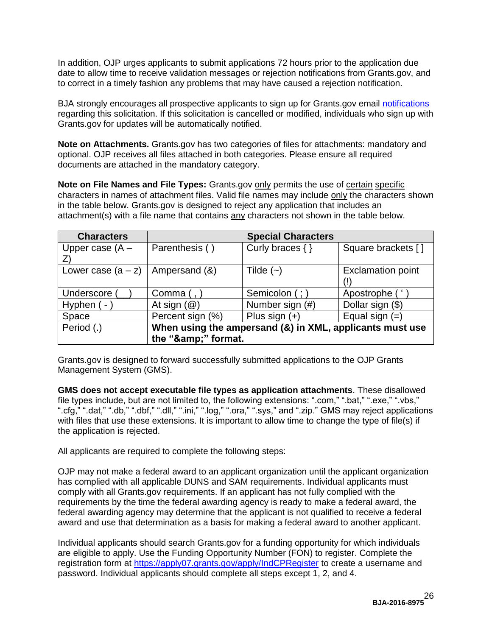In addition, OJP urges applicants to submit applications 72 hours prior to the application due date to allow time to receive validation messages or rejection notifications from Grants.gov, and to correct in a timely fashion any problems that may have caused a rejection notification.

BJA strongly encourages all prospective applicants to sign up for Grants.gov email [notifications](http://www.grants.gov/web/grants/manage-subscriptions.html) regarding this solicitation. If this solicitation is cancelled or modified, individuals who sign up with Grants.gov for updates will be automatically notified.

**Note on Attachments.** Grants.gov has two categories of files for attachments: mandatory and optional. OJP receives all files attached in both categories. Please ensure all required documents are attached in the mandatory category.

**Note on File Names and File Types:** Grants.gov only permits the use of certain specific characters in names of attachment files. Valid file names may include only the characters shown in the table below. Grants.gov is designed to reject any application that includes an attachment(s) with a file name that contains any characters not shown in the table below.

| <b>Characters</b>    |                                                          | <b>Special Characters</b> |                          |
|----------------------|----------------------------------------------------------|---------------------------|--------------------------|
| Upper case $(A -$    | Parenthesis ()                                           | Curly braces $\{\}$       | Square brackets []       |
|                      |                                                          |                           |                          |
| Lower case $(a - z)$ | Ampersand (&)                                            | Tilde $(-)$               | <b>Exclamation point</b> |
|                      |                                                          |                           |                          |
| Underscore           | Comma (,                                                 | Semicolon (;)             | Apostrophe ('            |
| Hyphen (-            | At sign $(\mathcal{Q})$                                  | Number sign (#)           | Dollar sign (\$)         |
| Space                | Percent sign (%)                                         | Plus sign $(+)$           | Equal sign $(=)$         |
| Period (.)           | When using the ampersand (&) in XML, applicants must use |                           |                          |
|                      | the "&" format.                                          |                           |                          |

Grants.gov is designed to forward successfully submitted applications to the OJP Grants Management System (GMS).

**GMS does not accept executable file types as application attachments**. These disallowed file types include, but are not limited to, the following extensions: ".com," ".bat," ".exe," ".vbs," ".cfg," ".dat," ".db," ".dbf," ".dll," ".ini," ".log," ".ora," ".sys," and ".zip." GMS may reject applications with files that use these extensions. It is important to allow time to change the type of file(s) if the application is rejected.

All applicants are required to complete the following steps:

OJP may not make a federal award to an applicant organization until the applicant organization has complied with all applicable DUNS and SAM requirements. Individual applicants must comply with all Grants.gov requirements. If an applicant has not fully complied with the requirements by the time the federal awarding agency is ready to make a federal award, the federal awarding agency may determine that the applicant is not qualified to receive a federal award and use that determination as a basis for making a federal award to another applicant.

Individual applicants should search Grants.gov for a funding opportunity for which individuals are eligible to apply. Use the Funding Opportunity Number (FON) to register. Complete the registration form at<https://apply07.grants.gov/apply/IndCPRegister> to create a username and password. Individual applicants should complete all steps except 1, 2, and 4.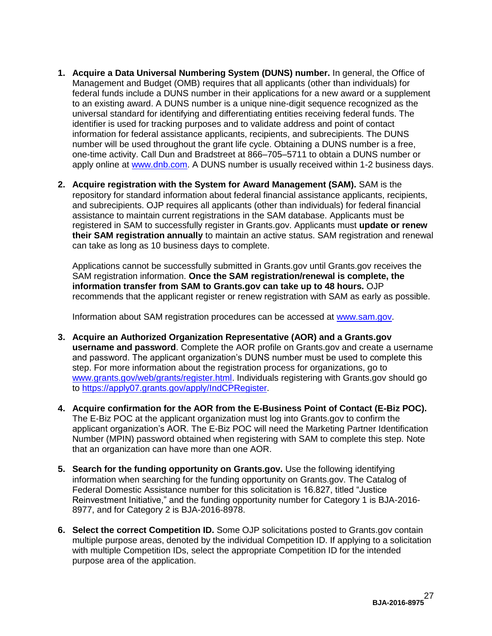- <span id="page-26-0"></span>**1. Acquire a Data Universal Numbering System (DUNS) number.** In general, the Office of Management and Budget (OMB) requires that all applicants (other than individuals) for federal funds include a DUNS number in their applications for a new award or a supplement to an existing award. A DUNS number is a unique nine-digit sequence recognized as the universal standard for identifying and differentiating entities receiving federal funds. The identifier is used for tracking purposes and to validate address and point of contact information for federal assistance applicants, recipients, and subrecipients. The DUNS number will be used throughout the grant life cycle. Obtaining a DUNS number is a free, one-time activity. Call Dun and Bradstreet at 866–705–5711 to obtain a DUNS number or apply online at [www.dnb.com.](http://www.dnb.com/) A DUNS number is usually received within 1-2 business days.
- <span id="page-26-1"></span>**2. Acquire registration with the System for Award Management (SAM).** SAM is the repository for standard information about federal financial assistance applicants, recipients, and subrecipients. OJP requires all applicants (other than individuals) for federal financial assistance to maintain current registrations in the SAM database. Applicants must be registered in SAM to successfully register in Grants.gov. Applicants must **update or renew their SAM registration annually** to maintain an active status. SAM registration and renewal can take as long as 10 business days to complete.

Applications cannot be successfully submitted in Grants.gov until Grants.gov receives the SAM registration information. **Once the SAM registration/renewal is complete, the information transfer from SAM to Grants.gov can take up to 48 hours.** OJP recommends that the applicant register or renew registration with SAM as early as possible.

Information about SAM registration procedures can be accessed at [www.sam.gov.](https://www.sam.gov/portal/public/SAM/?portal:componentId=1f834b82-3fed-4eb3-a1f8-ea1f226a7955&portal:type=action&interactionstate=JBPNS_rO0ABXc0ABBfanNmQnJpZGdlVmlld0lkAAAAAQATL2pzZi9uYXZpZ2F0aW9uLmpzcAAHX19FT0ZfXw**)

- <span id="page-26-2"></span>**3. Acquire an Authorized Organization Representative (AOR) and a Grants.gov username and password**. Complete the AOR profile on Grants.gov and create a username and password. The applicant organization's DUNS number must be used to complete this step. For more information about the registration process for organizations, go to [www.grants.gov/web/grants/register.html.](http://www.grants.gov/web/grants/register.html) Individuals registering with Grants.gov should go to [https://apply07.grants.gov/apply/IndCPRegister.](https://apply07.grants.gov/apply/IndCPRegister)
- <span id="page-26-3"></span>**4. Acquire confirmation for the AOR from the E-Business Point of Contact (E-Biz POC).**  The E-Biz POC at the applicant organization must log into Grants.gov to confirm the applicant organization's AOR. The E-Biz POC will need the Marketing Partner Identification Number (MPIN) password obtained when registering with SAM to complete this step. Note that an organization can have more than one AOR.
- <span id="page-26-4"></span>**5. Search for the funding opportunity on Grants.gov.** Use the following identifying information when searching for the funding opportunity on Grants.gov. The Catalog of Federal Domestic Assistance number for this solicitation is 16.827, titled "Justice Reinvestment Initiative," and the funding opportunity number for Category 1 is BJA-2016- 8977, and for Category 2 is BJA-2016-8978.
- <span id="page-26-5"></span>**6. Select the correct Competition ID.** Some OJP solicitations posted to Grants.gov contain multiple purpose areas, denoted by the individual Competition ID. If applying to a solicitation with multiple Competition IDs, select the appropriate Competition ID for the intended purpose area of the application.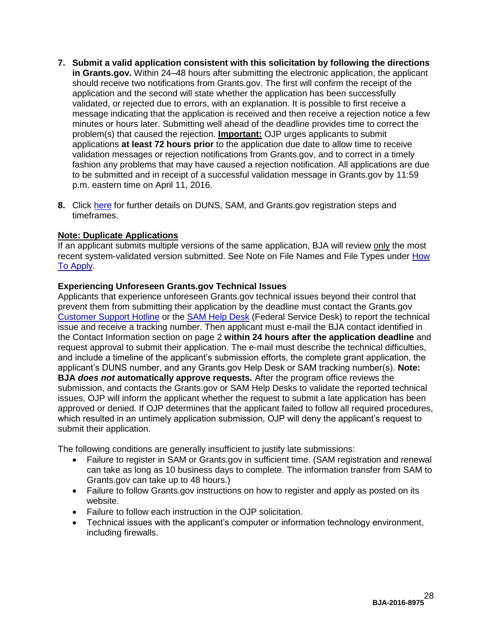- **7. Submit a valid application consistent with this solicitation by following the directions in Grants.gov.** Within 24–48 hours after submitting the electronic application, the applicant should receive two notifications from Grants.gov. The first will confirm the receipt of the application and the second will state whether the application has been successfully validated, or rejected due to errors, with an explanation. It is possible to first receive a message indicating that the application is received and then receive a rejection notice a few minutes or hours later. Submitting well ahead of the deadline provides time to correct the problem(s) that caused the rejection. **Important:** OJP urges applicants to submit applications **at least 72 hours prior** to the application due date to allow time to receive validation messages or rejection notifications from Grants.gov, and to correct in a timely fashion any problems that may have caused a rejection notification. All applications are due to be submitted and in receipt of a successful validation message in Grants.gov by 11:59 p.m. eastern time on April 11, 2016.
- **8.** Click [here](http://www.grants.gov/web/grants/applicants/organization-registration.html) for further details on DUNS, SAM, and Grants.gov registration steps and timeframes.

#### **Note: Duplicate Applications**

If an applicant submits multiple versions of the same application, BJA will review only the most recent system-validated version submitted. See Note on File Names and File Types under [How](#page-24-0)  [To Apply.](#page-24-0)

#### **Experiencing Unforeseen Grants.gov Technical Issues**

Applicants that experience unforeseen Grants.gov technical issues beyond their control that prevent them from submitting their application by the deadline must contact the Grants.gov [Customer Support Hotline](http://www.grants.gov/web/grants/about/contact-us.html) or the [SAM Help Desk](https://www.fsd.gov/fsd-gov/home.do) (Federal Service Desk) to report the technical issue and receive a tracking number. Then applicant must e-mail the BJA contact identified in the Contact Information section on page 2 **within 24 hours after the application deadline** and request approval to submit their application. The e-mail must describe the technical difficulties, and include a timeline of the applicant's submission efforts, the complete grant application, the applicant's DUNS number, and any Grants.gov Help Desk or SAM tracking number(s). **Note: BJA** *does not* **automatically approve requests***.* After the program office reviews the submission, and contacts the Grants.gov or SAM Help Desks to validate the reported technical issues, OJP will inform the applicant whether the request to submit a late application has been approved or denied. If OJP determines that the applicant failed to follow all required procedures, which resulted in an untimely application submission, OJP will deny the applicant's request to submit their application.

The following conditions are generally insufficient to justify late submissions:

- Failure to register in SAM or Grants.gov in sufficient time. (SAM registration and renewal can take as long as 10 business days to complete. The information transfer from SAM to Grants.gov can take up to 48 hours.)
- Failure to follow Grants.gov instructions on how to register and apply as posted on its website.
- Failure to follow each instruction in the OJP solicitation.
- Technical issues with the applicant's computer or information technology environment, including firewalls.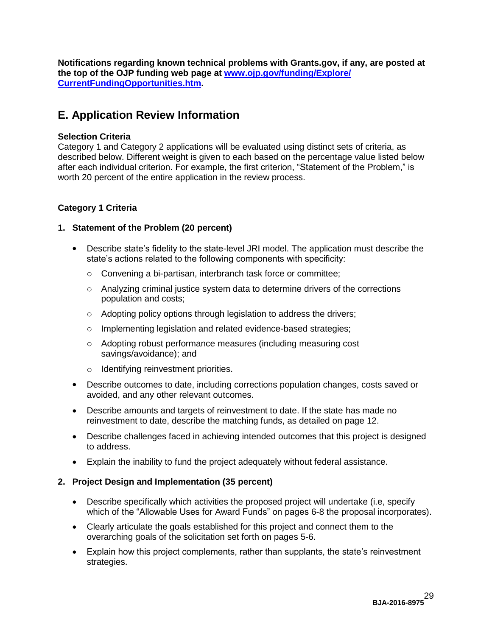**Notifications regarding known technical problems with Grants.gov, if any, are posted at the top of the OJP funding web page at [www.ojp.gov/funding/Explore/](http://ojp.gov/funding/Explore/CurrentFundingOpportunities.htm) [CurrentFundingOpportunities.htm.](http://ojp.gov/funding/Explore/CurrentFundingOpportunities.htm)**

# <span id="page-28-0"></span>**E. Application Review Information**

#### <span id="page-28-1"></span>**Selection Criteria**

Category 1 and Category 2 applications will be evaluated using distinct sets of criteria, as described below. Different weight is given to each based on the percentage value listed below after each individual criterion. For example, the first criterion, "Statement of the Problem," is worth 20 percent of the entire application in the review process.

## **Category 1 Criteria**

## **1. Statement of the Problem (20 percent)**

- Describe state's fidelity to the state-level JRI model. The application must describe the state's actions related to the following components with specificity:
	- o Convening a bi-partisan, interbranch task force or committee;
	- $\circ$  Analyzing criminal justice system data to determine drivers of the corrections population and costs;
	- o Adopting policy options through legislation to address the drivers;
	- o Implementing legislation and related evidence-based strategies;
	- o Adopting robust performance measures (including measuring cost savings/avoidance); and
	- o Identifying reinvestment priorities.
- Describe outcomes to date, including corrections population changes, costs saved or avoided, and any other relevant outcomes.
- Describe amounts and targets of reinvestment to date. If the state has made no reinvestment to date, describe the matching funds, as detailed on page [12.](#page-11-0)
- Describe challenges faced in achieving intended outcomes that this project is designed to address.
- Explain the inability to fund the project adequately without federal assistance.

## **2. Project Design and Implementation (35 percent)**

- Describe specifically which activities the proposed project will undertake (i.e, specify which of the "Allowable Uses for Award Funds" on pages 6-8 the proposal incorporates).
- Clearly articulate the goals established for this project and connect them to the overarching goals of the solicitation set forth on pages 5-6.
- Explain how this project complements, rather than supplants, the state's reinvestment strategies.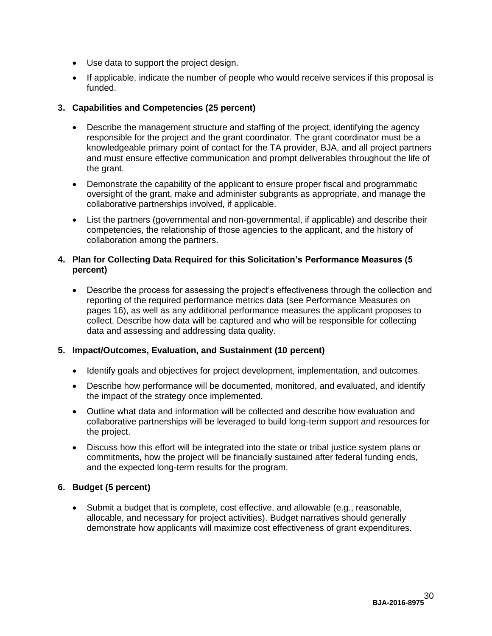- Use data to support the project design.
- If applicable, indicate the number of people who would receive services if this proposal is funded.

#### **3. Capabilities and Competencies (25 percent)**

- Describe the management structure and staffing of the project, identifying the agency responsible for the project and the grant coordinator. The grant coordinator must be a knowledgeable primary point of contact for the TA provider, BJA, and all project partners and must ensure effective communication and prompt deliverables throughout the life of the grant.
- Demonstrate the capability of the applicant to ensure proper fiscal and programmatic oversight of the grant, make and administer subgrants as appropriate, and manage the collaborative partnerships involved, if applicable.
- List the partners (governmental and non-governmental, if applicable) and describe their competencies, the relationship of those agencies to the applicant, and the history of collaboration among the partners.

#### **4. Plan for Collecting Data Required for this Solicitation's Performance Measures (5 percent)**

• Describe the process for assessing the project's effectiveness through the collection and reporting of the required performance metrics data (see Performance Measures on pages [16\)](#page-15-0), as well as any additional performance measures the applicant proposes to collect. Describe how data will be captured and who will be responsible for collecting data and assessing and addressing data quality.

#### **5. Impact/Outcomes, Evaluation, and Sustainment (10 percent)**

- Identify goals and objectives for project development, implementation, and outcomes.
- Describe how performance will be documented, monitored, and evaluated, and identify the impact of the strategy once implemented.
- Outline what data and information will be collected and describe how evaluation and collaborative partnerships will be leveraged to build long-term support and resources for the project.
- Discuss how this effort will be integrated into the state or tribal justice system plans or commitments, how the project will be financially sustained after federal funding ends, and the expected long-term results for the program.

#### **6. Budget (5 percent)**

 Submit a budget that is complete, cost effective, and allowable (e.g., reasonable, allocable, and necessary for project activities). Budget narratives should generally demonstrate how applicants will maximize cost effectiveness of grant expenditures.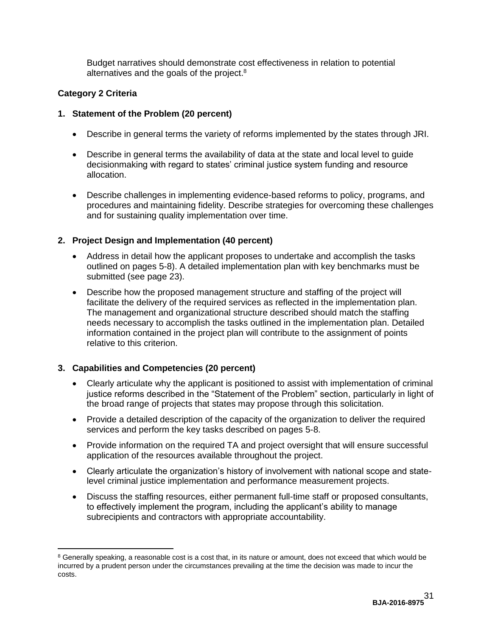Budget narratives should demonstrate cost effectiveness in relation to potential alternatives and the goals of the project.<sup>8</sup>

#### **Category 2 Criteria**

 $\overline{a}$ 

#### **1. Statement of the Problem (20 percent)**

- Describe in general terms the variety of reforms implemented by the states through JRI.
- Describe in general terms the availability of data at the state and local level to guide decisionmaking with regard to states' criminal justice system funding and resource allocation.
- Describe challenges in implementing evidence-based reforms to policy, programs, and procedures and maintaining fidelity. Describe strategies for overcoming these challenges and for sustaining quality implementation over time.

## **2. Project Design and Implementation (40 percent)**

- Address in detail how the applicant proposes to undertake and accomplish the tasks outlined on pages 5-8). A detailed implementation plan with key benchmarks must be submitted (see page [23\)](#page-22-1).
- Describe how the proposed management structure and staffing of the project will facilitate the delivery of the required services as reflected in the implementation plan. The management and organizational structure described should match the staffing needs necessary to accomplish the tasks outlined in the implementation plan. Detailed information contained in the project plan will contribute to the assignment of points relative to this criterion.

## **3. Capabilities and Competencies (20 percent)**

- Clearly articulate why the applicant is positioned to assist with implementation of criminal justice reforms described in the "Statement of the Problem" section, particularly in light of the broad range of projects that states may propose through this solicitation.
- Provide a detailed description of the capacity of the organization to deliver the required services and perform the key tasks described on pages 5-8.
- Provide information on the required TA and project oversight that will ensure successful application of the resources available throughout the project.
- Clearly articulate the organization's history of involvement with national scope and statelevel criminal justice implementation and performance measurement projects.
- Discuss the staffing resources, either permanent full-time staff or proposed consultants, to effectively implement the program, including the applicant's ability to manage subrecipients and contractors with appropriate accountability.

<sup>&</sup>lt;sup>8</sup> Generally speaking, a reasonable cost is a cost that, in its nature or amount, does not exceed that which would be incurred by a prudent person under the circumstances prevailing at the time the decision was made to incur the costs.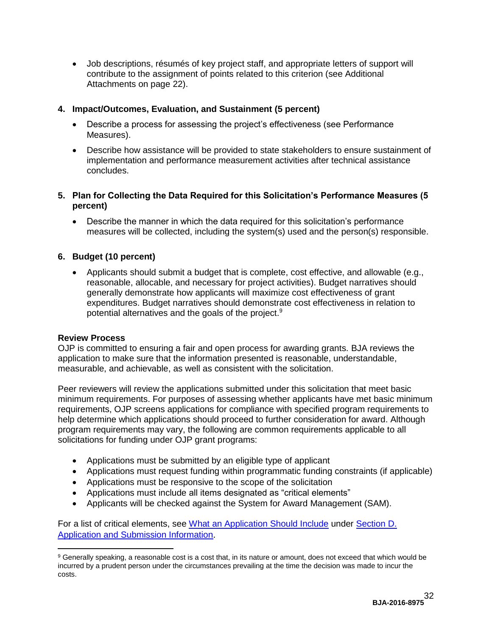Job descriptions, résumés of key project staff, and appropriate letters of support will contribute to the assignment of points related to this criterion (see Additional Attachments on page [22\)](#page-21-1).

## **4. Impact/Outcomes, Evaluation, and Sustainment (5 percent)**

- Describe a process for assessing the project's effectiveness (see Performance Measures).
- Describe how assistance will be provided to state stakeholders to ensure sustainment of implementation and performance measurement activities after technical assistance concludes.
- **5. Plan for Collecting the Data Required for this Solicitation's Performance Measures (5 percent)**
	- Describe the manner in which the data required for this solicitation's performance measures will be collected, including the system(s) used and the person(s) responsible.

#### **6. Budget (10 percent)**

 Applicants should submit a budget that is complete, cost effective, and allowable (e.g., reasonable, allocable, and necessary for project activities). Budget narratives should generally demonstrate how applicants will maximize cost effectiveness of grant expenditures. Budget narratives should demonstrate cost effectiveness in relation to potential alternatives and the goals of the project.<sup>9</sup>

#### <span id="page-31-0"></span>**Review Process**

 $\overline{a}$ 

OJP is committed to ensuring a fair and open process for awarding grants. BJA reviews the application to make sure that the information presented is reasonable, understandable, measurable, and achievable, as well as consistent with the solicitation.

Peer reviewers will review the applications submitted under this solicitation that meet basic minimum requirements. For purposes of assessing whether applicants have met basic minimum requirements, OJP screens applications for compliance with specified program requirements to help determine which applications should proceed to further consideration for award. Although program requirements may vary, the following are common requirements applicable to all solicitations for funding under OJP grant programs:

- Applications must be submitted by an eligible type of applicant
- Applications must request funding within programmatic funding constraints (if applicable)
- Applications must be responsive to the scope of the solicitation
- Applications must include all items designated as "critical elements"
- Applicants will be checked against the System for Award Management (SAM).

For a list of critical elements, see What an Application Should Include under Section D. Application and Submission Information.

<sup>9</sup> Generally speaking, a reasonable cost is a cost that, in its nature or amount, does not exceed that which would be incurred by a prudent person under the circumstances prevailing at the time the decision was made to incur the costs.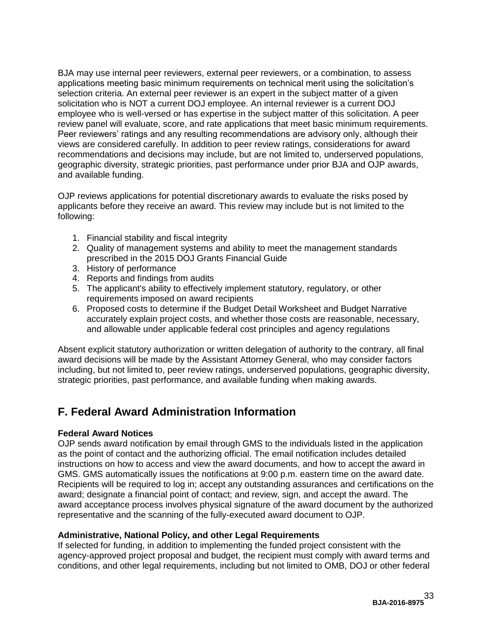BJA may use internal peer reviewers, external peer reviewers, or a combination, to assess applications meeting basic minimum requirements on technical merit using the solicitation's selection criteria. An external peer reviewer is an expert in the subject matter of a given solicitation who is NOT a current DOJ employee. An internal reviewer is a current DOJ employee who is well-versed or has expertise in the subject matter of this solicitation. A peer review panel will evaluate, score, and rate applications that meet basic minimum requirements. Peer reviewers' ratings and any resulting recommendations are advisory only, although their views are considered carefully. In addition to peer review ratings, considerations for award recommendations and decisions may include, but are not limited to, underserved populations, geographic diversity, strategic priorities, past performance under prior BJA and OJP awards, and available funding.

OJP reviews applications for potential discretionary awards to evaluate the risks posed by applicants before they receive an award. This review may include but is not limited to the following:

- 1. Financial stability and fiscal integrity
- 2. Quality of management systems and ability to meet the management standards prescribed in the 2015 DOJ Grants Financial Guide
- 3. History of performance
- 4. Reports and findings from audits
- 5. The applicant's ability to effectively implement statutory, regulatory, or other requirements imposed on award recipients
- 6. Proposed costs to determine if the Budget Detail Worksheet and Budget Narrative accurately explain project costs, and whether those costs are reasonable, necessary, and allowable under applicable federal cost principles and agency regulations

Absent explicit statutory authorization or written delegation of authority to the contrary, all final award decisions will be made by the Assistant Attorney General, who may consider factors including, but not limited to, peer review ratings, underserved populations, geographic diversity, strategic priorities, past performance, and available funding when making awards.

# <span id="page-32-0"></span>**F. Federal Award Administration Information**

#### <span id="page-32-1"></span>**Federal Award Notices**

OJP sends award notification by email through GMS to the individuals listed in the application as the point of contact and the authorizing official. The email notification includes detailed instructions on how to access and view the award documents, and how to accept the award in GMS. GMS automatically issues the notifications at 9:00 p.m. eastern time on the award date. Recipients will be required to log in; accept any outstanding assurances and certifications on the award; designate a financial point of contact; and review, sign, and accept the award. The award acceptance process involves physical signature of the award document by the authorized representative and the scanning of the fully-executed award document to OJP.

#### <span id="page-32-2"></span>**Administrative, National Policy, and other Legal Requirements**

If selected for funding, in addition to implementing the funded project consistent with the agency-approved project proposal and budget, the recipient must comply with award terms and conditions, and other legal requirements, including but not limited to OMB, DOJ or other federal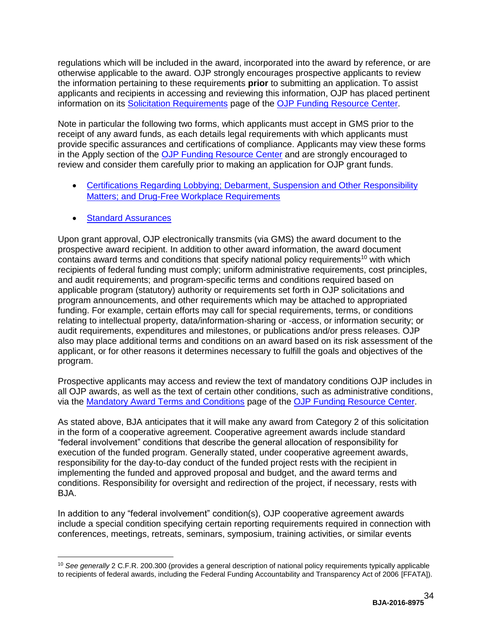regulations which will be included in the award, incorporated into the award by reference, or are otherwise applicable to the award. OJP strongly encourages prospective applicants to review the information pertaining to these requirements **prior** to submitting an application. To assist applicants and recipients in accessing and reviewing this information, OJP has placed pertinent information on its [Solicitation Requirements](http://ojp.gov/funding/Explore/SolicitationRequirements/index.htm) page of the OJP [Funding Resource Center.](http://ojp.gov/funding/index.htm)

Note in particular the following two forms, which applicants must accept in GMS prior to the receipt of any award funds, as each details legal requirements with which applicants must provide specific assurances and certifications of compliance. Applicants may view these forms in the Apply section of the [OJP Funding Resource Center](http://ojp.gov/funding/index.htm) and are strongly encouraged to review and consider them carefully prior to making an application for OJP grant funds.

- [Certifications Regarding Lobbying; Debarment, Suspension and Other Responsibility](http://ojp.gov/funding/Apply/Forms.htm)  [Matters; and Drug-Free Workplace Requirements](http://ojp.gov/funding/Apply/Forms.htm)
- [Standard Assurances](http://ojp.gov/funding/Apply/Forms.htm)

 $\overline{a}$ 

Upon grant approval, OJP electronically transmits (via GMS) the award document to the prospective award recipient. In addition to other award information, the award document contains award terms and conditions that specify national policy requirements<sup>10</sup> with which recipients of federal funding must comply; uniform administrative requirements, cost principles, and audit requirements; and program-specific terms and conditions required based on applicable program (statutory) authority or requirements set forth in OJP solicitations and program announcements, and other requirements which may be attached to appropriated funding. For example, certain efforts may call for special requirements, terms, or conditions relating to intellectual property, data/information-sharing or -access, or information security; or audit requirements, expenditures and milestones, or publications and/or press releases. OJP also may place additional terms and conditions on an award based on its risk assessment of the applicant, or for other reasons it determines necessary to fulfill the goals and objectives of the program.

Prospective applicants may access and review the text of mandatory conditions OJP includes in all OJP awards, as well as the text of certain other conditions, such as administrative conditions, via the [Mandatory Award Terms and Conditions](http://ojp.gov/funding/Explore/SolicitationRequirements/MandatoryTermsConditions.htm) page of the OJP [Funding Resource Center.](http://ojp.gov/funding/index.htm)

As stated above, BJA anticipates that it will make any award from Category 2 of this solicitation in the form of a cooperative agreement. Cooperative agreement awards include standard "federal involvement" conditions that describe the general allocation of responsibility for execution of the funded program. Generally stated, under cooperative agreement awards, responsibility for the day-to-day conduct of the funded project rests with the recipient in implementing the funded and approved proposal and budget, and the award terms and conditions. Responsibility for oversight and redirection of the project, if necessary, rests with BJA.

In addition to any "federal involvement" condition(s), OJP cooperative agreement awards include a special condition specifying certain reporting requirements required in connection with conferences, meetings, retreats, seminars, symposium, training activities, or similar events

<sup>10</sup> *See generally* 2 C.F.R. 200.300 (provides a general description of national policy requirements typically applicable to recipients of federal awards, including the Federal Funding Accountability and Transparency Act of 2006 [FFATA]).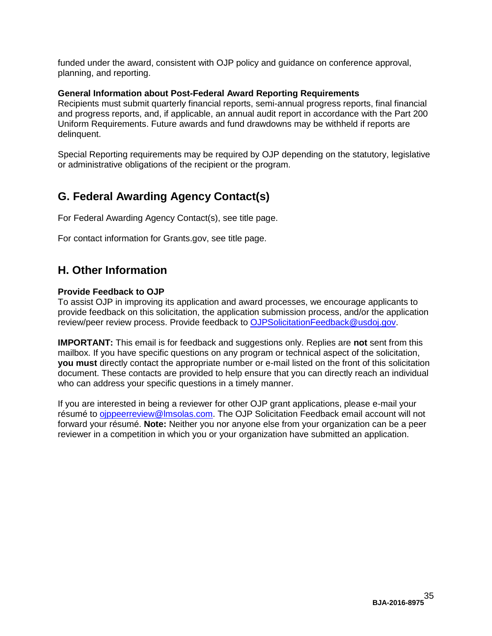funded under the award, consistent with OJP policy and guidance on conference approval, planning, and reporting.

#### <span id="page-34-0"></span>**General Information about Post-Federal Award Reporting Requirements**

Recipients must submit quarterly financial reports, semi-annual progress reports, final financial and progress reports, and, if applicable, an annual audit report in accordance with the Part 200 Uniform Requirements. Future awards and fund drawdowns may be withheld if reports are delinquent.

Special Reporting requirements may be required by OJP depending on the statutory, legislative or administrative obligations of the recipient or the program.

# <span id="page-34-1"></span>**G. Federal Awarding Agency Contact(s)**

For Federal Awarding Agency Contact(s), see title page.

For contact information for Grants.gov, see title page.

# <span id="page-34-2"></span>**H. Other Information**

#### <span id="page-34-3"></span>**Provide Feedback to OJP**

To assist OJP in improving its application and award processes, we encourage applicants to provide feedback on this solicitation, the application submission process, and/or the application review/peer review process. Provide feedback to [OJPSolicitationFeedback@usdoj.gov.](mailto:OJPSolicitationFeedback@usdoj.gov)

**IMPORTANT:** This email is for feedback and suggestions only. Replies are **not** sent from this mailbox. If you have specific questions on any program or technical aspect of the solicitation, **you must** directly contact the appropriate number or e-mail listed on the front of this solicitation document. These contacts are provided to help ensure that you can directly reach an individual who can address your specific questions in a timely manner.

If you are interested in being a reviewer for other OJP grant applications, please e-mail your résumé to [ojppeerreview@lmsolas.com.](mailto:ojppeerreview@lmsolas.com) The OJP Solicitation Feedback email account will not forward your résumé. **Note:** Neither you nor anyone else from your organization can be a peer reviewer in a competition in which you or your organization have submitted an application.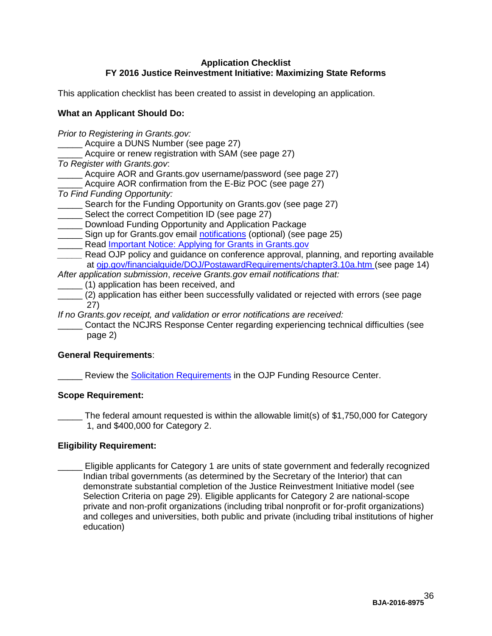#### **Application Checklist FY 2016 Justice Reinvestment Initiative: Maximizing State Reforms**

<span id="page-35-0"></span>This application checklist has been created to assist in developing an application.

# **What an Applicant Should Do:**

*Prior to Registering in Grants.gov:*

Acquire a DUNS Number (see page [27\)](#page-26-0)

Acquire or renew registration with SAM (see page [27\)](#page-26-1)

*To Register with Grants.gov*:

Acquire AOR and Grants.gov username/password (see page [27\)](#page-26-2)

Acquire AOR confirmation from the E-Biz POC (see page [27\)](#page-26-3)

*To Find Funding Opportunity:*

Search for the Funding Opportunity on Grants.gov (see page [27\)](#page-26-4)

Select the correct Competition ID (see page [27\)](#page-26-5)

\_\_\_\_\_ Download Funding Opportunity and Application Package

Sign up for Grants.gov email [notifications](http://www.grants.gov/web/grants/manage-subscriptions.html) (optional) (see page [25\)](#page-24-0)

Read [Important Notice: Applying for Grants in Grants.gov](http://ojp.gov/funding/Apply/Grants-govInfo.htm)

*\_\_\_\_\_* Read OJP policy and guidance on conference approval, planning, and reporting available at [ojp.gov/financialguide/DOJ/PostawardRequirements/chapter3.10a.htm](http://ojp.gov/financialguide/DOJ/PostawardRequirements/chapter3.10a.htm) (see page [14\)](#page-13-1)

*After application submission*, *receive Grants.gov email notifications that:*

\_\_\_\_\_ (1) application has been received, and

(2) application has either been successfully validated or rejected with errors (see page [27\)](#page-26-5)

*If no Grants.gov receipt, and validation or error notifications are received:*

\_\_\_\_\_ Contact the NCJRS Response Center regarding experiencing technical difficulties (see page 2)

## **General Requirements**:

Review the [Solicitation Requirements](http://ojp.gov/funding/Explore/SolicitationRequirements/index.htm) in the OJP Funding Resource Center.

## **Scope Requirement:**

The federal amount requested is within the allowable limit(s) of \$1,750,000 for Category 1, and \$400,000 for Category 2.

## **Eligibility Requirement:**

Eligible applicants for Category 1 are units of state government and federally recognized Indian tribal governments (as determined by the Secretary of the Interior) that can demonstrate substantial completion of the Justice Reinvestment Initiative model (see Selection Criteria on page [29\)](#page-28-1). Eligible applicants for Category 2 are national-scope private and non-profit organizations (including tribal nonprofit or for-profit organizations) and colleges and universities, both public and private (including tribal institutions of higher education)